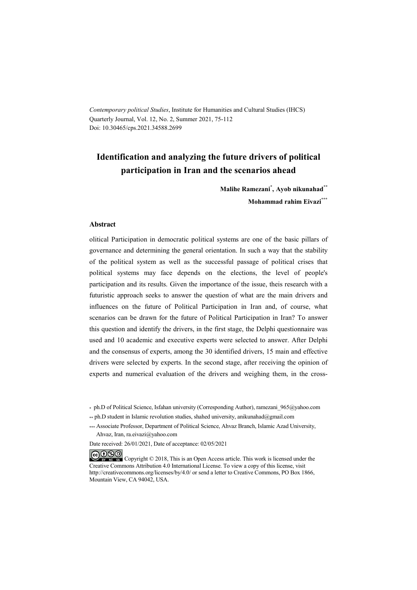*Contemporary political Studies*, Institute for Humanities and Cultural Studies (IHCS) Quarterly Journal, Vol. 12, No. 2, Summer 2021, 75-112 Doi: 10.30465/cps.2021.34588.2699

## **Identification and analyzing the future drivers of political participation in Iran and the scenarios ahead**

**Malihe Ramezani\* , Ayob nikunahad\*\* Mohammad rahim Eivazi\*\*\***

#### **Abstract**

olitical Participation in democratic political systems are one of the basic pillars of governance and determining the general orientation. In such a way that the stability of the political system as well as the successful passage of political crises that political systems may face depends on the elections, the level of people's participation and its results. Given the importance of the issue, theis research with a futuristic approach seeks to answer the question of what are the main drivers and influences on the future of Political Participation in Iran and, of course, what scenarios can be drawn for the future of Political Participation in Iran? To answer this question and identify the drivers, in the first stage, the Delphi questionnaire was used and 10 academic and executive experts were selected to answer. After Delphi and the consensus of experts, among the 30 identified drivers, 15 main and effective drivers were selected by experts. In the second stage, after receiving the opinion of experts and numerical evaluation of the drivers and weighing them, in the cross-

<sup>\*</sup> ph.D of Political Science, Isfahan university (Corresponding Author), ramezani\_965@yahoo.com

<sup>\*\*</sup> ph.D student in Islamic revolution studies, shahed university, anikunahad@gmail.com

<sup>\*\*\*</sup> Associate Professor, Department of Political Science, Ahvaz Branch, Islamic Azad University, Ahvaz, Iran, ra.eivazi@yahoo.com

Date received: 26/01/2021, Date of acceptance: 02/05/2021

COOO Copyright © 2018, This is an Open Access article. This work is licensed under the Creative Commons Attribution 4.0 International License. To view a copy of this license, visit http://creativecommons.org/licenses/by/4.0/ or send a letter to Creative Commons, PO Box 1866, Mountain View, CA 94042, USA.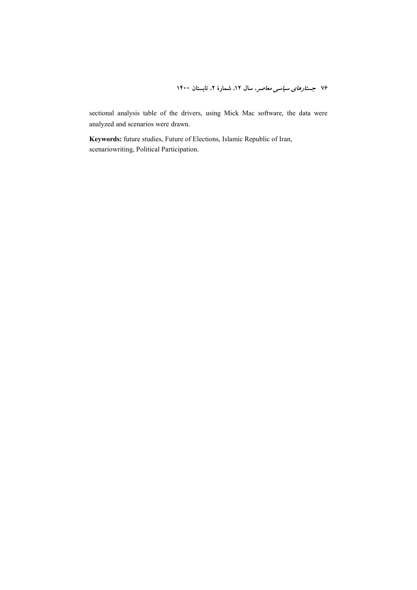sectional analysis table of the drivers, using Mick Mac software, the data were analyzed and scenarios were drawn.

**Keywords:** future studies, Future of Elections, Islamic Republic of Iran, scenariowriting, Political Participation.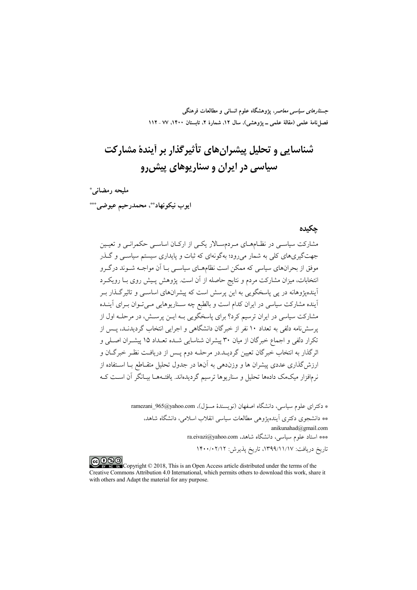*جستارهای سیاسی معاصر*، پژوهشگاه علوم انسانی و مطالعات فرهنگی فصل نامهٔ علمی (مقالهٔ علمی ــ پژوهشی)، سال ۱۲، شمارهٔ ۲، تابستان ۱۴۰۰، ۷۷ ـ ۱۱۲

# شناسایی و تحلیل پیشرانهای تأثیرگذار بر آیندهٔ مشارکت سیاسی در ایران و سناریوهای پیش رو

مليحه رمضاني\* ايوب نيكونهاد\*\*، محمدرحيم عيوضى\*\*\*

#### حكىدە

مشارکت سیاسے در نظـامهـای مـردمسـالار یکـی از ارکـان اساسـی حکمرانـی و تعیـین جهتگیریهای کلی به شمار میرود؛ بهگونهای که ثبات و پایداری سیستم سیاسـی و گــذر موفق از بحرانهای سیاسی که ممکن است نظامهـای سیاسـی بـا اَن مواجـه شـوند درگـرو انتخابات، میزان مشارکت مردم و نتایج حاصله از آن است. یژوهش پـیش روی بــا رویکــرد آیندهیژوهانه در یی پاسخگویی به این پرسش است که پیشرانهای اساســی و تاثیرگـذار بــر .<br>آینده مشارکت سیاسی در ایران کدام است و بالطبع چه سـناریوهایی مـی تـوان بـرای آینـده مشارکت سیاسی در ایران ترسیم کرد؟ برای پاسخگویی بـه ایــن پرســش، در مرحلــه اول از پرسشنامه دلفی به تعداد ۱۰ نفر از خبرگان دانشگاهی و اجرایی انتخاب گردیدنــد، پــس از تکرار دلفی و اجماع خبرگان از میان ۳۰ پیشران شناسایی شـده تعـداد ۱۵ پیشـران اصـلی و اثرگذار به انتخاب خبرگان تعیین گردیـد.در مرحلـه دوم پـس از دریافـت نظـر خبرگــان و ارزش گذاری عددی پیشران ها و وزندهی به آنها در جدول تحلیل متقـاطع بــا اســتفاده از نرمافزار میکمک دادهها تحلیل و سناریوها ترسیم گردیدهاند. یافتـههــا بیــانگر آن اســت کــه

> \* دكتراي علوم سياسي، دانشگاه اصفهان (نويسندهٔ مسؤل)، ramezani\_965@yahoo.com \*\* دانشجوی دکتری آیندهیژوهی مطالعات سیاسی انقلاب اسلامی، دانشگاه شاهد، anikunahad@gmail.com \*\*\* استاد علوم سیاسی، دانشگاه شاهد. ra.eivazi@yahoo.com تاريخ دريافت: ١٣٩٩/١١/١٧، تاريخ پذيرش: ١۴٠٠/٠٢/١٢

COOD experience Copyright © 2018, This is an Open Access article distributed under the terms of the Creative Commons Attribution 4.0 International, which permits others to download this work, share it with others and Adapt the material for any purpose.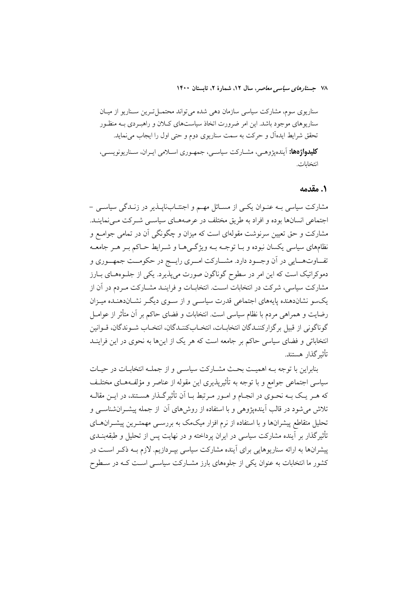سناریوی سوم، مشارکت سیاسی سازمان دهی شده می تواند محتمــل تــرین ســناریو از میــان سناریوهای موجود باشد. این امر ضرورت اتخاذ سیاستهای کـلان و راهبـردی بـه منظـور تحقق شرایط ایدهآل و حرکت به سمت سناریوی دوم و حتی اول را ایجاب می نماید. **کلیدواژهها:** آیندهیژوههی، مشبارکت سیاسی، جمهوری اسپلامی ایبران، سیناریونویسی، انتخابات.

#### ٠. مقدمه

مشارکت سیاسی بـه عنـوان یکـی از مسـائل مهـم و اجنتـابناپــذیر در زنــدگی سیاسـی -اجتماعی انسانها بوده و افراد به طریق مختلف در عرصههـای سیاســی شــرکت مــی نماینــد. مشارکت و حق تعیین سرنوشت مقولهای است که میزان و چگونگی آن در تمامی جوامـع و نظامهای سیاسی یکسان نبوده و بــا توجــه بــه ویژگــیهــا و شــرایط حــاکم بــر هــر جامعــه تفــاوتهـــايي در اَن وجــود دارد. مشـــاركت امــري رايـــج در حكومــت جمهــوري و دموکراتیک است که این امر در سطوح گوناگون صورت میپذیرد. یکی از جلـوههـای بـارز مشارکت سیاسی، شرکت در انتخابات اسـت. انتخابــات و فراینــد مشــارکت مــردم در آن از یکسو نشاندهنده پایههای اجتماعی قدرت سیاسی و از سـوی دیگـر نشـاندهنـده میـزان رضایت و همراهی مردم با نظام سیاسی است. انتخابات و فضای حاکم بر آن متأثر از عوامــل گوناگونی از قبیل بر گزارکننـدگان انتخابـات، انتخـابکننـدگان، انتخـاب شـوندگان، قـوانين انتخاباتی و فضای سیاسی حاکم بر جامعه است که هر یک از اینها به نحوی در این فراینید تأثير گذار هستند.

بنابراین با توجه بـه اهمیـت بحـث مشـارکت سیاسـی و از جملـه انتخابـات در حیـات سیاسی اجتماعی جوامع و با توجه به تأثیریذیری این مقوله از عناصر و مؤلفـههـای مختلـف که هـر يـک بـه نحـوي در انجـام و امـور مـرتبط بـا اَن تأثيرگـذار هسـتند، در ايـن مقالـه تلاش می شود در قالب آیندهیژوهی و با استفاده از روشهای آن از جمله پیشـرانشناســی و تحلیل متقاطع پیشرانها و با استفاده از نرم افزار میکمک به بررسـی مهمتـرین پیشــرانهــای تأثیر گذار بر آینده مشارکت سیاسی در ایران پرداخته و در نهایت پس از تحلیل و طبقهبنــدی پیشرانها به ارائه سناریوهایی برای آینده مشارکت سیاسی بپـردازیم. لازم بــه ذکـر اســت در کشور ما انتخابات به عنوان یکی از جلوههای بارز مشـارکت سیاسـی اسـت کـه در سـطوح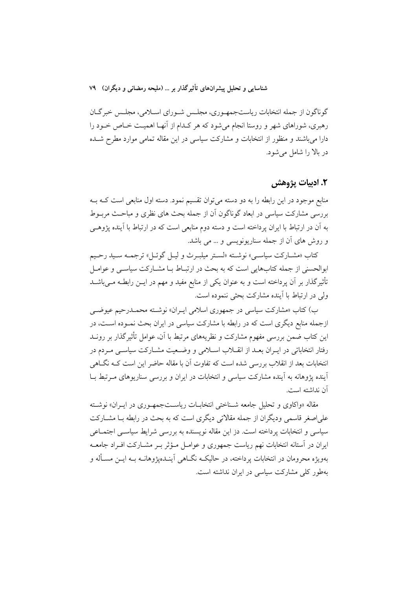گوناگون از جمله انتخابات ریاستجمهـوري، مجلـس شـوراي اسـلامي، مجلـس خبرگـان رهبری، شوراهای شهر و روستا انجام می شود که هر کـدام از آنهـا اهمیـت خــاص خــود را دارا میباشند و منظور از انتخابات و مشارکت سیاسی در این مقاله تمامی موارد مطرح شـده در بالا را شامل می شود.

### ٢. ادبيات پژوهش

منابع موجود در این رابطه را به دو دسته میتوان تقسیم نمود. دسته اول منابعی است کـه بــه بررسی مشارکت سیاسی در ابعاد گوناگون آن از جمله بحث های نظری و مباحـث مربــوط به آن در ارتباط با ایران پرداخته است و دسته دوم منابعی است که در ارتباط با آینده پژوهـی و روش های آن از جمله سناریونویسی و ... می باشد.

كتاب «مشـاركت سياسـي» نوشـته «لسـتر ميلبـرث و ليـل گوئـل» ترجمـه سـيد رحـيم ابوالحسنی از جمله کتابهایی است که به بحث در ارتبـاط بـا مشــارکت سیاســی و عوامــل تأثیرگذار بر آن پرداخته است و به عنوان یکی از منابع مفید و مهم در ایــن رابطــه مــیباشــد ولي در ارتباط با آينده مشاركت بحثى ننموده است.

ب) کتاب «مشارکت سیاسی در جمهوری اسلامی ایــران» نوشــته محمــدرحیم عیوضــی ازجمله منابع دیگری است که در رابطه با مشارکت سیاسی در ایران بحث نمـوده اسـت، در این کتاب ضمن بررسی مفهوم مشارکت و نظریههای مرتبط با آن، عوامل تأثیرگذار بر رونــد رفتار انتخاباتی در ایـران بعـد از انقــلاب اســلامی و وضــعیت مشــارکت سیاســی مــردم در انتخابات بعد از انقلاب بررسی شده است که تفاوت آن با مقاله حاضر این است کــه نگــاهی آینده پژوهانه به آینده مشارکت سیاسی و انتخابات در ایران و بررسی سناریوهای مـرتبط بــا آن نداشته است.

مقاله «واکاوی و تحلیل جامعه شـناختی انتخابـات ریاسـتجمهـوری در ایـران» نوشـته علی اصغر قاسمی ودیگران از جمله مقالاتی دیگری است که به بحث در رابطه بــا مشــارکت سیاسی و انتخابات پرداخته است. دز این مقاله نویسنده به بررسی شرایط سیاســی اجتمــاعی ایران در آستانه انتخابات نهم ریاست جمهوری و عوامـل مـؤثر بـر مشـارکت افـراد جامعـه بهویژه محرومان در انتخابات پرداخته، در حالیکـه نگــاهـی اَینــدهپژوهانــه بــه ایــن مســأله و بهطور کلی مشارکت سیاسی در ایران نداشته است.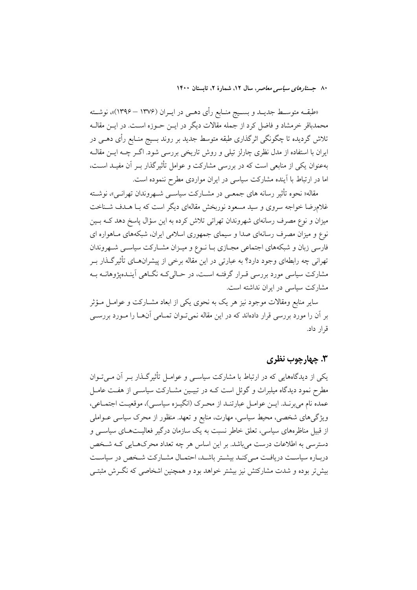«طبقــه متوســط جديــد و بســيج منــابع رأى دهــي در ايــران (١٣٧۶ – ١٣٩۶)»، نوشــته محمدباقر خرمشاد و فاضل کرد از جمله مقالات دیگر در ایــن حــوزه اســت. در ایــن مقالــه تلاش گردیده تا چگونگی اثرگذاری طبقه متوسط جدید بر روند بسیج منـابع رأی دهــی در ایران با استفاده از مدل نظری چارلز تیلی و روش تاریخی بررسی شود. اگـر چــه ایــن مقالــه بهعنوان یکی از منابعی است که در بررسی مشارکت و عوامل تأثیرگذار بـر آن مفیـد اسـت، اما در ارتباط با آینده مشارکت سیاسی در ایران مواردی مطرح ننموده است.

مقاله« نحوه تأثیر رسانه های جمعـی در مشــارکت سیاســی شــهروندان تهرانــی»، نوشــته غلامرضا خواجه سروی و سید مسعود نوربخش مقالهای دیگر است که بـا هــدف شــناخت میزان و نوع مصرف رسانهای شهروندان تهراتی تلاش کرده به این سؤال یاسخ دهد کـه بــین .<br>نوع و میزان مصرف رسانهای صدا و سیمای جمهوری اسلامی ایران، شبکههای مـاهواره ای فارسی زبان و شبکههای اجتماعی مجـازی بـا نـوع و میـزان مشـارکت سیاسـی شـهروندان تهرانی چه رابطهای وجود دارد؟ به عبارتی در این مقاله برخی از پیشرانهــای تأثیرگــذار بــر مشارکت سیاسی مورد بررسی قـرار گرفتـه اسـت، در حـالی کـه نگـاهی اَینـدهپژوهانــه بــه مشارکت سیاسی در ایران نداشته است.

سایر منابع ومقالات موجود نیز هر یک به نحوی یکی از ابعاد مشــارکت و عوامــل مــؤثر بر آن را مورد بررسی قرار دادهاند که در این مقاله نمی تـوان تمـامی آنهــا را مــورد بررســی قرار داد.

### ۳. چهارچوب نظري

یکی از دیدگاههایی که در ارتباط با مشارکت سیاسبی و عوامـل تأثیرگـذار بـر آن مـی تـوان مطرح نمود دیدگاه میلبراث و گوئل است کـه در تبیـین مشـارکت سیاســی از هفـت عامــل عمده نام مي برنـد. ايــن عوامــل عبارتنــد از محـرک (انگيــزه سياســي)، موقعيــت اجتمــاعي، ویژگیهای شخصی، محیط سیاسی، مهارت، منابع و تعهد. منظور از محرک سیاسی عــواملی از قبیل مناظرههای سیاسی، تعلق خاطر نسبت به یک سازمان درگیر فعالیـتهـای سیاســی و دسترسی به اطلاعات درست میباشد. بر این اساس هر چه تعداد محرکهـایی کـه شـخص درباره سیاست دریافت می کند بیشتر باشد، احتمال مشارکت شخص در سیاست بیش تر بوده و شدت مشارکتش نیز بیشتر خواهد بود و همچنین اشخاصی که نگـرش مثبتـی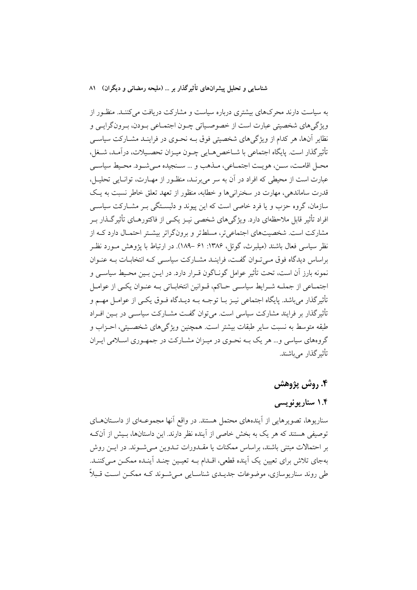به سیاست دارند محرکهای بیشتری درباره سیاست و مشارکت دریافت می کننـد. منظـور از ويژگيهاي شخصيتي عبارت است از خصوصـياتي چـون اجتمـاعي بـودن، بـرونگرايـي و نظایر آنها، هر کدام از ویژگی های شخصیتی فوق بــه نحـوی در فراینــد مشــارکت سیاســی تأثير گذار است. پايگاه اجتماعي با شــاخص&ــايي چــون ميــزان تحصــيلات، درآمــد، شــغل، محبل اقامت، سين، هو يت اجتمـاعي، مـذهب و … سـنجيده مـي شـود. محـيط سياسـي عبارت است از محیطی که افراد در آن به سر می برنـد، منظـور از مهـارت، توانـایی تحلیـل، قدرت ساماندهی، مهارت در سخنرانیها و خطابه، منظور از تعهد تعلق خاطر نسبت به یک سازمان، گروه حزب و یا فرد خاصی است که این پیوند و دلستگی ب مشیارکت سیاستی افراد تأثیر قابل ملاحظهای دارد. ویژگی های شخصی نیـز یکـی از فاکتورهــای تأثیر گــذار بــر مشارکت است. شخصیتهای اجتماعی تر، مسلطتر و برونگراتر بیشـتر احتمـال دارد کـه از نظر سیاسی فعال باشند (میلبرث، گوئل، ۱۳۸۶: ۶۱ –۱۸۹). در ارتباط با یژوهش مــورد نظــر براساس دیدگاه فوق مے تبوان گفت، فراینید مشیارکت سیاستی کیه انتخابیات بیه عنبوان نمونه بارز آن است، تحت تأثیر عوامل گونـاگون قـرار دارد. در ایــن بــین محـیط سیاســی و اجتمـاعي از جملـه شـرايط سياسـي حـاكم، قـوانين انتخابـاتي بـه عنـوان يكـي از عوامـل تأثیر گذار می باشد. پایگاه اجتماعی نیـز بــا توجــه بــه دیــدگاه فــوق یکــی از عوامــل مهــم و تأثیر گذار بر فرایند مشارکت سیاسی است. می توان گفت مشــارکت سیاســی در بــین افــراد طبقه متوسط به نسبت سایر طبقات بیشتر است. همچنین ویژگیهای شخصـیتی، احــزاب و گروههای سیاسی و… هر یک بــه نحــوی در میــزان مشــارکت در جمهــوری اســلامی ایــران تأثیر گذار ً مے باشند.

### ۴. روش پژوهش

## ۱.۴ سناريونويسي

سناریوها، تصویرهایی از اَیندههای محتمل هستند. در واقع اَنها مجموعـهای از داسـتانهـای توصیفی هستند که هر یک به بخش خاصی از آینده نظر دارند. این داستانها، بسش از آنکـه بر احتمالات مبتنی باشند، براساس ممکنات یا مقــدورات تــدوین مــیشــوند. در ایــن روش بهجای تلاش برای تعیین یک آینده قطعی، اقــدام بــه تعیــین چنــد آینــده ممکــن مــیکننــد. طی روند سناریوسازی، موضوعات جدیـدی شناسـایی مـی شـوند کـه ممکـن اسـت قـبلاً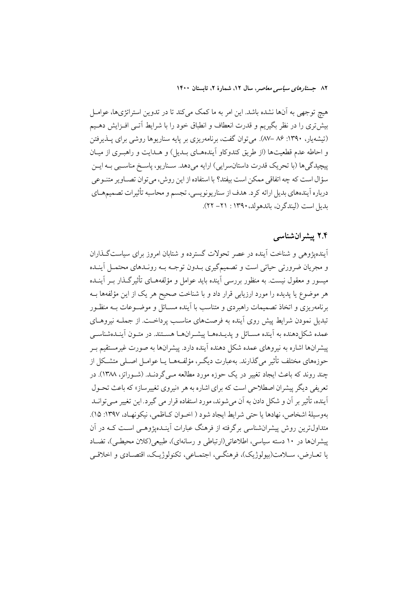هیچ توجهی به آنها نشده باشد. این امر به ما کمک میکند تا در تدوین استراتژیها، عوامـل بیشتری را در نظر بگیریم و قدرت انعطاف و انطباق خود را با شرایط آتـی افــزایش دهــیم (تیشهیار، ۱۳۹۰: ۸۶ –۸۷. می توان گفت، برنامهریزی بر پایه سناریوها روشی برای پـذیرفتن و احاطه عدم قطعیتها (از طریق کندوکاو اَیندههـای بـدیل) و هـدایت و راهبـری از میـان پیچیدگی ها (با تحریک قدرت داستانسرایی) ارایه میدهد. سـناریو، پاسـخ مناسـبی بـه ایــن سؤال است كه چه اتفاقى ممكن است بيفتد؟ با استفاده از اين روش، مى توان تصــاوير متنــوعى درباره أيندههاي بديل ارائه كرد. هدف از سناريونويسي، تجسم و محاسبه تأثيرات تصميمهـاي بديل است (ليندگر ن، باندهولد، ١٣٩٠ : ٢١ - ٢٢).

### ۲.۴ پیشرانشناسی

آیندهیژوهی و شناخت آینده در عصر تحولات گسترده و شتابان امروز برای سیاست *گ*ذاران و مجريان ضرورتي حياتي است و تصميمگيري بــدون توجــه بــه رونــدهاي محتمــل أينــده میسور و معقول نیست. به منظور بررسی آینده باید عوامل و مؤلفههـای تأثیرگـذار بـر آینـده هر موضوع یا پدیده را مورد ارزیابی قرار داد و با شناخت صحیح هر یک از این مؤلفهها بــه برنامهریزی و اتخاذ تصمیمات راهبردی و متناسب با آینده مسـائل و موضـوعات بـه منظـور تبدیل نمودن شرایط پیش روی اَینده به فرصتهای مناسب پرداخـت. از جملــه نیروهــای عمده شکل(دهنده به آینده مسـائل و پدیــدههــا پیشــرانهــا هســتند. در متــون آینــدهشناســی پیشرانها اشاره به نیروهای عمده شکل دهنده آینده دارد. پیشرانها به صورت غیرمستقیم بـر حوزههای مختلف تأثیر میگذارند. بهعبارت دیگ ، مؤلفههـا یـا عوامـل اصـلی متشـكل از چند روند که باعث ایجاد تغییر در یک حوزه مورد مطالعه مـی گردنــد. (شــوراتز، ۱۳۸۸). در تعریفی دیگر پیشران اصطلاحی است که برای اشاره به هر «نیروی تغییرساز» که باعث تحـول آینده، تأثیر بر آن و شکل دادن به آن میشوند، مورد استفاده قرار می گیرد. این تغییر مـیتوانـد بهوسيلهٔ اشخاص، نهادها يا حتى شرايط ايجاد شو د ( اخيوان كـاظمى، نيكونهـاد، ١٣٩٧: ١٥). متداول ترین روش پیشرانشناسی برگرفته از فرهنگ عبارات آینــدهیژوهــی اســت کــه در آن ییشرانها در ۱۰ دسته سیاسی، اطلاعاتی(ارتباطی و رسانهای)، طبیعی(کلان محیطی)، تضـاد يا تعــارض، ســلامت(بيولوژيک)، فرهنگــي، اجتمــاعي، تکنولوژيــک، اقتصــادي و اخلاقــي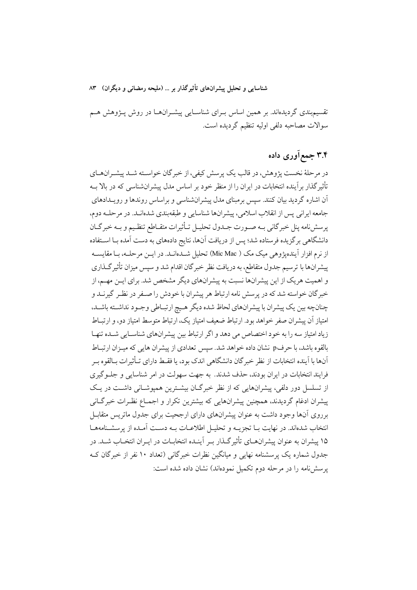تقسیم.بندی گردیدهاند. بر همین اساس بـرای شناسـایی پیشـرانهـا در روش پـژوهش هـم سوالات مصاحبه دلفي اوليه تنظيم گرديده است.

## ۳.۴ جمع آوري داده

در مرحلهٔ نخست پژوهش، در قالب یک پرسش کیفی، از خبر گان خواسـته شـد پیشـرانهـای تأثیرگذار برآینده انتخابات در ایران را از منظر خود بر اساس مدل پیشرانشناسی که در بالا بــه آن اشاره گردید بیان کنند. سپس برمبنای مدل پیشرانشناسی و براساس روندها و رویـدادهای جامعه ايراني پس از انقلاب اسلامي، پيشرانها شناسايي و طبقهبندي شدهانـد. در مرحلــه دوم، پرسش نامه پنل خبرگاني بــه صــورت جــدول تحليــل تــأثيرات متقــاطع تنظـيم و بــه خبرگــان دانشگاهی برگزیده فرستاده شد؛ پس از دریافت آنها، نتایج دادههای به دست آمده بـا اسـتفاده از نرم افزار آیندهیژوهی میک مک ( Mic Mac) تحلیل شـدهانـد. در ایــن مرحلــه، بـا مقایســه پیشرانها با ترسیم جدول متقاطع، به دریافت نظر خبر گان اقدام شد و سپس میزان تأثیر گـذاری و اهمیت هر یک از این پیشرانها نسبت به پیشرانهای دیگر مشخص شد. برای ایـن مهـم، از خبرگان خواسته شد که در پرسش نامه ارتباط هر پیشران با خودش را صـفر در نظـر گیرنــد و چنانچه بین یک پیشران با پیشرانهای لحاظ شده دیگر هیچ ارتباطی وجـود نداشـته باشـد، امتیاز آن پیشران صفر خواهد بود. ارتباط ضعیف امتیاز یک، ارتباط متوسط امتیاز دو، و ارتبـاط زیاد امتیاز سه را به خود اختصاص می دهد و اگر ارتباط بین پیشرانهای شناسـایی شـده تنهـا بالقوه باشد، با حرفp نشان داده خواهد شد. سپس تعدادي از پيشران هايي كه ميـزان ارتبـاط اّنها با اَينده انتخابات از نظر خبر گان دانشگاهی اندک بود، یا فقـط دارای تـأثیرات بـالقوه بـر فرایند انتخابات در ایران بودند، حذف شدند. به جهت سهولت در امر شناسایی و جلبوگیری از تسلسل دور دلفی، پیشرانهایی که از نظر خبرگـان بیشـترین همیوشـانی داشـت در یـک پیشران ادغام گردیدند، همچنین پیشرانهایی که بیشترین تکرار و اجمـاع نظـرات خبرگـانی برروی آنها وجود داشت به عنوان پیشرانهای دارای ارجحیت برای جدول ماتریس متقابـل انتخاب شدهاند. در نهایت بــا تجزیــه و تحلیــل اطلاعــات بــه دســت آمــده از پرسشــنامههــا ۱۵ پیشران به عنوان پیشرانهـای تأثیر گـذار بـر آینـده انتخابـات در ایـران انتخـاب شـد. در جدول شماره یک پرسشنامه نهایی و میانگین نظرات خبرگانی (تعداد ۱۰ نفر از خبرگان ک یرسش نامه را در مرحله دوم تکمیل نمودهاند) نشان داده شده است: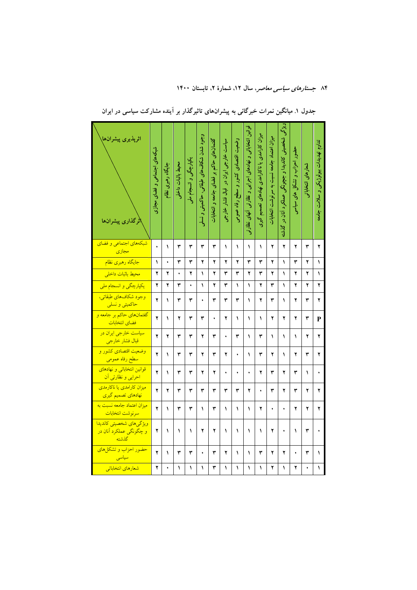| اثرپذیری پیشرانها<br>اثرگذاری پیشرانها                                       | شبکههای اجتماعی و فضای مجازی | جایگاه رهبری نظام | محيط باثبات داخلى | یکپارچگی و انسجام ملی | وجود شدن شکاف% طبقاتی، حاکمیتی و نسلو | گفتمانهای حاکم بر فضای جامعه و انتخابات | سیاست خارجی ایران در قبال فشار خارجی | وضعیت اقتصادی کشور و سطح رفاه عمومی | قوانین انتخاباتی و نهادهای اجرایی و نظارتی آنهای نظارتی | میزان کارامدی یا ناکارامدی نهادهای تصمیم گیری | ميزان اعتماد جامعه نسبت به سرنوشت انتخابات | ربڑگی شخصیتی کاندیدا و جبچونگی عملکرد آنان در گذشته | حضور احزاب و تشکل های سیاسی | شعارهاى انتخاباتو | تداوم تهديس الزميرة بكي و تسلامت بولون مها |
|------------------------------------------------------------------------------|------------------------------|-------------------|-------------------|-----------------------|---------------------------------------|-----------------------------------------|--------------------------------------|-------------------------------------|---------------------------------------------------------|-----------------------------------------------|--------------------------------------------|-----------------------------------------------------|-----------------------------|-------------------|--------------------------------------------|
| شبکههای اجتماعی و فضای<br><mark>مجازي</mark>                                 | $\ddot{\phantom{0}}$         | ١                 | ۳                 | ٣                     | ٣                                     | ٣                                       | ١                                    | ١                                   | ١                                                       | ١                                             | ۲                                          | ۲                                                   | ۲                           | ٣                 | ۲                                          |
| <mark>جایگاه رهبری نظام</mark>                                               | ١                            | ۰                 | ٣                 | ٣                     | ۲                                     | ۲                                       | ۲                                    | ۲                                   | ٣                                                       | ٣                                             | ۲                                          | ١                                                   | ٣                           | ۲                 | ١                                          |
| <mark>محيط باثبات داخلي</mark>                                               | ۲                            | ۲                 | ۰                 | ۲                     | ١                                     | ۲                                       | ٣                                    | ٣                                   | ۲                                                       | ۳                                             | ۲                                          | ١                                                   | ۲                           | ۲                 | ١                                          |
| یکپارچگ <sub>ی</sub> و انسجام مل <sub>ی</sub>                                | ۲                            | ۲                 | ٣                 | ٠                     | ١                                     | ۲                                       | ۳                                    | ١                                   | ١                                                       | ۲                                             | ۳                                          | ١                                                   | ۲                           | ۲                 | ۲                                          |
| <mark>وجود شكافهاي طبقاتي،</mark><br><mark>حاکمیتی و نسل<sub>ی</sub></mark>  | ۲                            | ١                 | ٣                 | ٣                     |                                       | ٣                                       | ٣                                    | ٣                                   | ١                                                       | ۲                                             | ٣                                          | ١                                                   | ۲                           | ٣                 | ۲                                          |
| <mark>گفتمانهای حاکم بر جامعه و</mark><br>فضاي انتخابا <mark>ت</mark>        | ۲                            | ١                 | ۲                 | ٣                     | ٣                                     | ۰                                       | ۲                                    | ١                                   | ١                                                       | ١                                             | ۲                                          | ۲                                                   | ۲                           | ٣                 | P                                          |
| <mark>سیاست خارجی ایران در</mark><br><mark>قبال فشار خارجي</mark>            | ۲                            | ۲                 | ٣                 | ٣                     | ۲                                     | ٣                                       | ۰                                    | ٣                                   | ١                                                       | ٣                                             | ١                                          | $\lambda$                                           | ١                           | ۲                 | ۲                                          |
| <mark>وضعیت اقتصادی</mark> کشور و<br><mark>سطح رفاه عمومي</mark>             | ۲                            | ١                 | ٣                 | ٣                     | ۲                                     | ٣                                       | ۲                                    | ۰                                   | ١                                                       | ٣                                             | ۲                                          | ١                                                   | ۲                           | ٣                 | ۲                                          |
| <mark>قوانین انتخاباتی و نهادهای</mark><br><mark>احرایی و نظارتی اَن</mark>  | ۲                            | ١                 | ٣                 | ٣                     | ۲                                     | ۲                                       | ۰                                    | ۰                                   | ۰                                                       | ۲                                             | ٣                                          | ۲                                                   | ۳                           | ١                 |                                            |
| <mark>میزان کارامدی یا ناکارمدی</mark><br><mark>نهادهای تصمیم گیری</mark>    | ۲                            | ۲                 | ٣                 | ٣                     | ٣                                     | ٣                                       | ٣                                    | ٣                                   | ۲                                                       | ۰                                             | ٣                                          | ۲                                                   | ٣                           | ۲                 | ۲                                          |
| میزان اعتماد جامعه نسبت به<br>سرنوشت انتخابات                                | ۲                            | ١                 | ٣                 | ٣                     | ١                                     | ٣                                       | ١                                    | ١                                   | ١                                                       | ۲                                             | ۰                                          | ٠                                                   | ۲                           | ۲                 | ۲                                          |
| <mark>ویژگیهای شخصیتی کاندیدا</mark><br><mark>و چگونگی عملکرد آنان در</mark> | ۲                            | ١                 | ١                 | ١                     | ۲                                     | ۲                                       | ١                                    | ١                                   | ١                                                       | ١                                             | ۲                                          | ۰                                                   | ١                           | ٣                 |                                            |
| <mark>حضور احزاب و تشکلهای</mark>                                            | ۲                            | ١                 | ٣                 | ٣                     | ٠                                     | ٣                                       | ۲                                    | ١                                   | ١                                                       | ٣                                             | ۲                                          | ۲                                                   | ٠                           | ٣                 | ١                                          |
| <mark>شعارهای انتخاباتی</mark>                                               | ۲                            |                   | ١                 | ١                     | ١                                     | ٣                                       | ١                                    | ١                                   | ١                                                       | ١                                             | ۲                                          | ١                                                   | ۲                           |                   | ١                                          |

| جدول ۱. میانگین نمرات خبرگانی به پیشرانهای تاثیرگذار بر آینده مشارکت سیاسی در ایران |  |  |  |  |  |  |  |
|-------------------------------------------------------------------------------------|--|--|--|--|--|--|--|
|                                                                                     |  |  |  |  |  |  |  |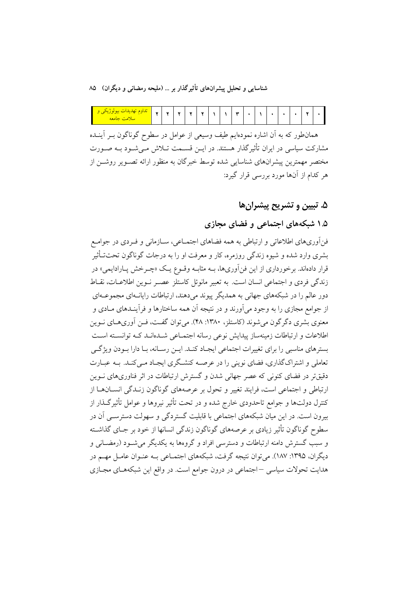| 100000<br><u>ريداوم تهارياتات</u><br><u> Umrl</u><br>$\sim$<br>سلامت جامعه | ٠ | $\overline{\phantom{a}}$ | $\overline{a}$ |  | $\overline{\phantom{0}}$ |  |  | $\overline{\phantom{a}}$ |  |  |  |  |  | $\overline{\phantom{a}}$ |  |
|----------------------------------------------------------------------------|---|--------------------------|----------------|--|--------------------------|--|--|--------------------------|--|--|--|--|--|--------------------------|--|
|----------------------------------------------------------------------------|---|--------------------------|----------------|--|--------------------------|--|--|--------------------------|--|--|--|--|--|--------------------------|--|

همانطور که به اَن اشاره نمودهایم طیف وسیعی از عوامل در سطوح گوناگون بــر اَینــده مشارکت سیاسی در ایران تأثیرگذار هستند. در ایــن قســمت تــلاش مــیشــود بــه صــورت مختصر مهمترین پیشرانهای شناسایی شده توسط خبرگان به منظور ارائه تصـویر روشــن از هر کدام از آنها مورد بررسی قرار گیرد:

## ۵. تبيين و تشريح پيشران ها

## ۱.۵ شبکههای اجتماعی و فضای مجازی

فنأوريهاي اطلاعاتي و ارتباطي به همه فضاهاي اجتمــاعي، ســازماني و فــردي در جوامــع بشری وارد شده و شیوه زندگی روزمره، کار و معرفت او را به درجات گوناگون تحتتـأثیر قرار دادهاند. برخورداری از این فنآوریها، بــه مثابــه وقــوع یــک «چــرخش پــارادایمی» در زندگی فردی و اجتماعی انسان است. به تعبیر مانوئل کاستلز عصبر نبوین اطلاعیات، نقباط دور عالم را در شبکههای جهانی به همدیگر پیوند می دهند، ارتباطات رایانـهای مجموعـهای از جوامع مجازی را به وجود میآورند و در نتیجه آن همه ساختارها و فرآینـدهای مــادی و معنوی بشری دگر گون می شوند (کاستلز، ۱۳۸۰: ۴۸). می توان گفت، فــن آوریهــای نــوین اطلاعات و ارتباطات زمینهساز پیدایش نوعی رسانه اجتمـاعی شــدهانــد کــه توانســته اســت بسترهای مناسبی را برای تغییرات اجتماعی ایجـاد کنـد. ایــن رســانه، بــا دارا بــودن ویژگــی تعاملی و اشتراکگذاری، فضای نوینی را در عرصـه کنشـگری ایجـاد مـی کنـد. بـه عبــارت دقیقتر در فضای کنونی که عصر جهانی شدن و گسترش ارتباطات در اثر فناوریهای نــوین ارتباطی و اجتماعی است، فرایند تغییر و تحول بر عرصههای گوناگون زنـدگی انســانهــا از کنترل دولتها و جوامع تاحدودی خارج شده و در تحت تأثیر نیروها و عوامل تأثیرگـذار از بیرون است. در این میان شبکههای اجتماعی با قابلیت گستردگی و سهولت دسترســی آن در سطوح گوناگون تأثیر زیادی بر عرصههای گوناگون زندگی انسانها از خود بر جـای گذاشـته و سبب گسترش دامنه ارتباطات و دسترسی افراد و گروهها به یکدیگر می شـود (رمضـانی و ديگران، ١٣٩٥: ١٨٧). مي توان نتيجه گرفت، شبكههاي اجتمــاعي بــه عنــوان عامــل مهــم در هدایت تحولات سیاسی –اجتماعی در درون جوامع است. در واقع این شبکههـای مجـازی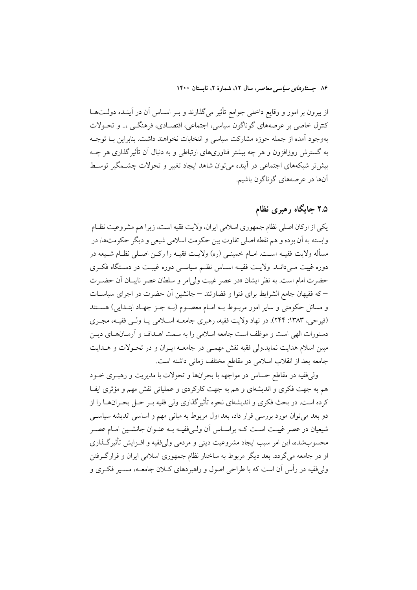از بیرون بر امور و وقایع داخلی جوامع تأثیر میگذارند و بـر اســاس آن در آینــده دولــتهــا كنترل خاصي بر عرصههاي گوناگون سياسي، اجتماعي، اقتصـادي، فرهنگــي ،.. و تحــولات بهوجود آمده از جمله حوزه مشاركت سياسي و انتخابات نخواهند داشت. بنابراين بــا توجــه به گسترش روزافزون و هر چه بیشتر فناوریهای ارتباطی و به دنبال آن تأثیر گذاری هر چــه بیش تر شبکههای اجتماعی در آینده می توان شاهد ایجاد تغییر و تحولات چشــمگیر توسـط آنها در عرصههای گوناگون باشیم.

## ۲.۵ جایگاه رهبری نظام

يكي از اركان اصلي نظام جمهوري اسلامي ايران، ولايت فقيه است، زيرا هم مشروعيت نظـام وابسته به آن بوده و هم نقطه اصلي تفاوت بين حكومت اسلامي شيعي و ديگر حكومتها، در مسأله ولايت فقيـه اسـت. امــام خمينــي (ره) ولايــت فقيــه را ركــن اصــلي نظــام شــيعه در دوره غیبت مـی(دانـد. ولایـت فقیـه اسـاس نظـم سیاســی دوره غیبـت در دســتگاه فکـری حضرت امام است. به نظر ایشان «در عصر غیبت ولی|مر و سلطان عصر نایبـان آن حضـرت –که فقیهان جامع الشرایط برای فتوا و قضاوتند – جانشین آن حضرت در اجرای سیاسـات و مسائل حکومتی و سایر امور مربـوط بــه امــام معصــوم (بــه جــز جهــاد ابتــدایی) هســتند (فيرحى، ١٣٨٣: ٢۴۴). در نهاد ولايت فقيه، رهبري جامعـه اسـلامي يـا ولـي فقيـه، مجـري دستورات الهي است و موظف است جامعه اسلامي را به سمت اهــداف و آرمــانهــاي ديــز مبین اسلام هدایت نماید.ولی فقیه نقش مهمـی در جامعـه ایـران و در تحـولات و هـدایت جامعه بعد از انقلاب اسلامی در مقاطع مختلف زمانی داشته است.

ولي فقيه در مقاطع حساس در مواجهه با بحرانها و تحولات با مديريت و رهبـري خــود هم به جهت فکری و اندیشهای و هم به جهت کارکردی و عملیاتی نقش مهم و مؤثری ایفا کرده است. در بحث فکری و اندیشهای نحوه تأثیر گذاری ولی فقیه بــر حــل بحــران\هــا را از دو بعد می توان مورد بررسی قرار داد، بعد اول مربوط به مبانی مهم و اساسی اندیشه سیاسی شیعیان در عصر غیبت اسـت کــه براســاس آن ولــیفقیــه بــه عنــوان جانشــین امــام عصــر محسوبشده، این امر سبب ایجاد مشروعیت دینی و مردمی ولی فقیه و افـزایش تأثیرگـذاری او در جامعه می گردد. بعد دیگر مربوط به ساختار نظام جمهوری اسلامی ایران و قرارگرفتن ولی فقیه در رأس آن است که با طراحی اصول و راهبردهای کــلان جامعــه، مســیر فکــری و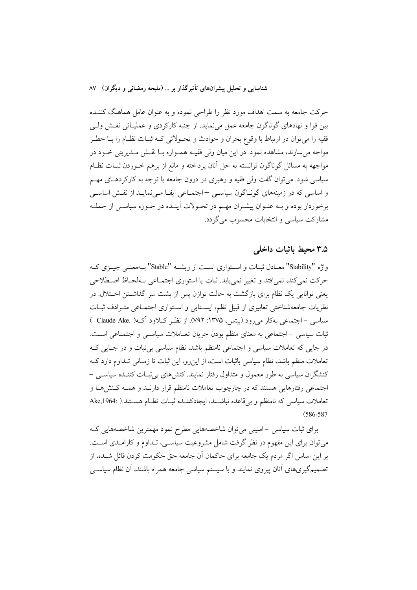حرکت جامعه به سمت اهداف مورد نظر را طراحی نموده و به عنوان عامل هماهنگ کننـده بین قوا و نهادهای گوناگون جامعه عمل می نماید. از جنبه کارکردی و عملیـاتی نقــش ولــی فقیه را میتوان در ارتباط با وقوع بحران و حوادث و تحـولاتی کـه ثبـات نظـام را بــا خطـر مواجه می سازند، مشاهده نمود. در این میان ولی فقیــه همــواره بــا نقــش مــدیریتی خــود در مواجهه به مسائل گوناگون توانسته به حل آنان پرداخته و مانع از برهم خـوردن ثبــات نظــام سیاسی شود. می توان گفت ولی فقیه و رهبری در درون جامعه با توجه به کارکردهـای مهـم و اساسی که در زمینههای گونـاگون سیاسـی –اجتمـاعی ایفـا مـینمایـد از نقـش اساسـی برخوردار بوده و بـه عنـوان پیشـران مهـم در تحـولات آینـده در حـوزه سیاسـی از جملـه مشارکت سیاسی و انتخابات محسوب می گردد.

### ۳.۵ محبط باثبات داخلی

واژه "Stability" معبادل ثبیات و استواری است از ریشیه "Stable" بیهمعنبی چیپزی کیه حركت نمي كند، نمي افتد و تغيير نمي يابد. ثبات يا استواري اجتمــاعي بــهلحــاظ اصــطلاحي یعنی توانایی یک نظام برای بازگشت به حالت توازن پس از پشت سر گذاشتن اختلال. در نظریات جامعهشناختی تعابیری از قبیل نظم، ایسـتایی و اسـتواری اجتمـاعی متـرادف ثبـات سیاسی –اجتماعی بهکار می رود (بیتس، ۱۳۷۵: ۷۹۲). از نظـر کــلاود آکــه( .Claude Ake ) ثبات سیاسی - اجتماعی به معنای منظم بودن جریان تعـاملات سیاسـی و اجتمـاعی اسـت. در جایی که تعاملات سیاسی و اجتماعی نامنظم باشد، نظام سیاسی بی ثبات و در جـایی کـه تعاملات منظم باشد، نظام سیاسی باثبات است، از این رو، این ثبات تا زمـانی تـداوم دارد کـه کنشگران سیاسی به طور معمول و متداول رفتار نمایند. کنش۵ای بی ثبـات کننـده سیاســی – اجتماعی رفتارهایی هستند که در چارچوب تعاملات نامنظم قرار دارنـد و همـه کـنش۱هـا و تعاملات سیاسی که نامنظم و بی قاعده نباشـند، ایجادکننـده ثبـات نظـام هسـتند.( :Ake,1964  $(586 - 587)$ 

برای ثبات سیاسی -امنیتی میتوان شاخصههایی مطرح نمود مهمترین شاخصههایی ک می توان برای این مفهوم در نظر گرفت شامل مشروعیت سیاسبی، تـداوم و کارامـدی اسـت. بر این اساس اگر مردم یک جامعه برای حاکمان آن جامعه حق حکومت کردن قائل شــده، از تصمیمگیریهای آنان پیروی نمایند و با سیستم سیاسی جامعه همراه باشند، آن نظام سیاسی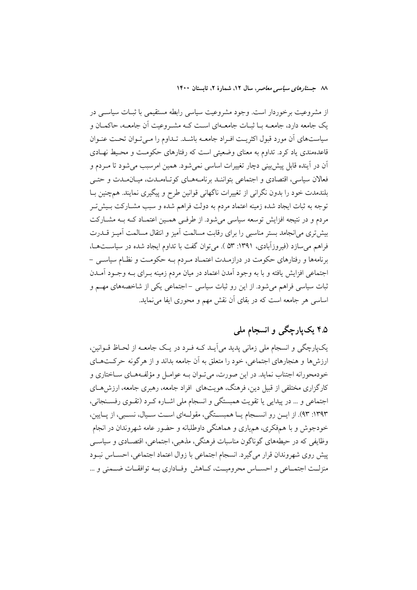از مشروعیت برخوردار است. وجود مشروعیت سیاسی رابطه مستقیمی با ثبـات سیاســی در یک جامعه دارد، جامعــه بــا ثبــات جامعــهای اســت کــه مشــروعیت آن جامعــه، حاکمــان و سیاستهای آن مورد قبول اکثریت افـراد جامعــه باشــد. تــداوم را مــیتـوان تحـت عنـوان قاعدهمندی یاد کرد. تداوم به معنای وضعیتی است که رفتارهای حکومت و محبط نهـادی آن در آینده قابل پیش بینی دچار تغییرات اساسی نمی شود. همین امرسبب می شود تا مـردم و فعالان سیاسی، اقتصادی و اجتماعی بتواننـد برنامـههـای کوتـاهمـدت، میـانمـدت و حتـی بلندمدت خود را بدون نگرانی از تغییرات ناگهانی قوانین طرح و پیگیری نمایند. همچنین بـا توجه به ثبات ایجاد شده زمینه اعتماد مردم به دولت فراهم شده و سبب مشـارکت بـیش تـر مردم و در نتیجه افزایش توسعه سیاسی میشود. از طرفـی همـین اعتمـاد کـه بـه مشـارکت بیش تری می|نجامد بستر مناسبی را برای رقابت مسالمت آمیز و انتقال مسالمت آمیـز قـــدرت فراهم می سازد (فیروزآبادی، ۱۳۹۱: ۵۳). می توان گفت با تداوم ایجاد شده در سیاستها، برنامهها و رفتارهای حکومت در درازمـدت اعتمـاد مـردم بـه حکومـت و نظـام سیاسـی – اجتماعی افزایش یافته و با به وجود آمدن اعتماد در میان مردم زمینه بـرای بـه وجـود آمــدن ثبات سیاسی فراهم میشود. از این رو ثبات سیاسی –اجتماعی یکی از شاخصههای مهــم و اساسی هر جامعه است که در بقای آن نقش مهم و محوری ایفا می نماید.

## ۴.۵ یکپارچگی و انسجام ملی

یکپارچگی و انسجام ملی زمانی پدید میآیـد کـه فـرد در یـک جامعـه از لحـاظ قـوانین، ارزش ها و هنجارهای اجتماعی، خود را متعلق به آن جامعه بداند و از هر گونه حرکتهای خودمحورانه اجتناب نمايد. در اين صورت، مي تـوان بــه عوامــل و مؤلفــههــاي ســاختاري و کارگزاری مختلفی از قبیل دین، فرهنگ، هویتهای افراد جامعه، رهبری جامعه، ارزش هــای اجتماعی و … در پیدایی یا تقویت همبستگی و انسجام ملی اشـاره کـرد (تقـوی رفسـنجانی، ۱۳۹۳: ۹۳). از ایــن رو انســجام یــا همبســتگی، مقولــهای اســت ســیال، نســبی، از یــایین، خودجوش و با همهفکري، همهياري و هماهنگي داوطلبانه و حضور عامه شهروندان در انجام وظايفي كه در حيطههاي گوناگون مناسبات فرهنگي، مذهبي، اجتماعي، اقتصــادي و سياســي ييش روى شهروندان قرار مى گيرد. انسجام اجتماعى با زوال اعتماد اجتماعى، احسـاس نبـود منزلـت اجتمــاعي و احســاس محروميــت، كــاهش وفــاداري بــه توافقــات ضــمنى و …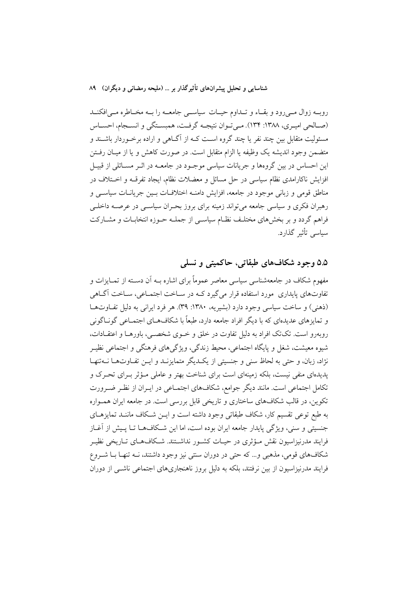روبـه زوال مـیرود و بقـاء و تـداوم حيـات سياسـي جامعــه را بــه مخــاطره مــی|فكنــد (صـالحي اميـري، ١٣٨٨: ١٣۴). مـي تـوان نتيجـه گرفـت، همبسـتگي و انسـجام، احسـاس مسئولیت متقابل بین چند نفر یا چند گروه اسـت کــه از آگــاهـی و اراده برخــوردار باشــند و متضمن وجود انديشه يک وظيفه يا الزام متقابل است. در صورت کاهش و يا از ميـان رفــتن این احساس در بین گروهها و جریانات سیاسی موجـود در جامعــه در اثــر مســائلی از قبیــل افزایش ناکارامدی نظام سیاسی در حل مسائل و معضلات نظام، ایجاد تفرقـه و اخـتلاف در مناطق قومی و زبانی موجود در جامعه، افزایش دامنـه اختلافـات بـین جریانـات سیاســی و رهبران فکری و سیاسی جامعه می تواند زمینه برای بروز بحـران سیاســی در عرصــه داخلــی فراهم گردد و بر بخشهای مختلـف نظـام سیاسـی از جملـه حـوزه انتخابــات و مشــارکت سیاسی تأثیر گذارد.

۵.۵ وجود شکافهای طبقاتی، حاکمیتی و نسلی

مفهوم شکاف در جامعهشناسی سیاسی معاصر عموماً برای اشاره بــه آن دســته از تمــایزات و تفاوتهای پایداری ً مورد استفاده قرار می گیرد کــه در ســاخت اجتمــاعی، ســاخت آگــاهی (ذهنی) و ساخت سیاسی وجود دارد (بشیریه، ۱۳۸۰: ۳۹). هر فرد ایرانی به دلیل تفاوتها و تمایزهای عدیدهای که با دیگر افراد جامعه دارد، طبعاً با شکافهـای اجتمـاعی گونـاگونی روبهرو است. تکتک افراد به دلیل تفاوت در خلق و خـوی شخصـی، باورهـا و اعتقــادات، شیوه معیشت، شغل و پایگاه اجتماعی، محیط زندگی، ویژگیهای فرهنگی و اجتماعی نظیـر نژاد، زبان، و حتی به لحاظ سنی و جنسیتی از یک دیگر متمایزنــد و ایــن تفــاوتـهــا نــهتنهــا یدیدهای منفی نیست، بلکه زمینهای است برای شناخت بهتر و عاملی مـؤثر بـرای تحـرک و تکامل اجتماعی است. مانند دیگر جوامع، شکافهای اجتمـاعی در ایــران از نظـر ضــرورت تکوین، در قالب شکافهای ساختاری و تاریخی قابل بررسی است. در جامعه ایران همـواره به طبع توعی تقسیم کار، شکاف طبقاتی وجود داشته است و ایــن شــکاف ماننــد تمایزهــای جنسیتی و سنی، ویژگی پایدار جامعه ایران بوده است، اما این شکافهــا تــا پــیش از آغــاز فرایند مدرنیزاسیون نقش مـؤثری در حیـات کشـور نداشــتند. شــکافهـای تــاریخی نظیــر شکافهای قومی، مذهبی و… که حتی در دوران سنتی نیز وجود داشتند، نـه تنهـا بــا شــروع فرایند مدرنیزاسیون از بین نرفتند، بلکه به دلیل بروز ناهنجاریهای اجتماعی ناشبی از دوران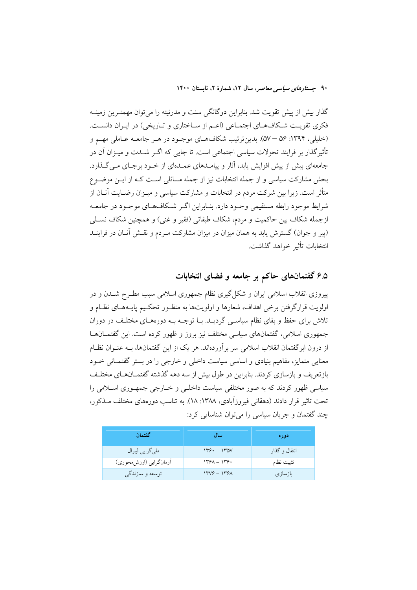گذار بیش از پیش تقویت شد. بنابراین دوگانگی سنت و مدرنیته را میتوان مهمتـرین زمینــه فكرى تقويت شكافهاي اجتماعي (اعـم از سـاختاري و تـاريخي) در ايـران دانسـت. (خلیلی، ۱۳۹۴: ۵۶ –۵۷). بدین ترتیب شکافهای موجـود در هـر جامعـه عـاملی مهـم و تأثیر گذار بر فرایند تحولات سیاسی اجتماعی است. تا جایی که اگـر شــدت و میــزان آن در جامعهای بیش از پیش افزایش پابد، آثار و پیامـدهای عمـدهای از خـود برجـای مـی گـذارد. بحش مشارکت سیاسی و از جمله انتخابات نیز از جمله مسائلی است کـه از ایــن موضــوع متأثر است. زیرا بین شرکت مردم در انتخابات و مشارکت سیاسی و میـزان رضـایت آنــان از .<br>شرایط موجود رابطه مستقیمی وجـود دارد. بنــابراین اگــر شــکافهــای موجــود در جامعــه ازجمله شکاف بین حاکمیت و مردم، شکاف طبقاتی (فقیر و غنی) و همچنین شکاف نسـلی (پیر و جوان) گسترش پابد به همان میزان در میزان مشارکت مـردم و نقـش آنــان در فراینــد انتخابات تأثير خواهد گذاشت.

## ۶.۵ گفتمانهای حاکم بر جامعه و فضای انتخابات

پیروزی انقلاب اسلامی ایران و شکل گیری نظام جمهوری اسلامی سبب مطـرح شــدن و در اولويت قرارگرفتن برخي اهداف، شعارها و اولويتها به منظـور تحکـيم پايـههـاي نظـام و تلاش برای حفظ و بقای نظام سیاسـی گردیــد. بــا توجــه بــه دورههــای مختلـف در دوران جمهوری اسلامی، گفتمانهای سیاسی مختلف نیز بروز و ظهور کرده است. این گفتمــانهــا از درون ابرگفتمان انقلاب اسلامی سر برآوردهاند. هر یک از این گفتمانها، بـه عنــوان نظــام معنایی متمایز، مفاهیم بنیادی و اساسی سیاست داخلی و خارجی را در بستر گفتمـانی خــود بازتعریف و بازسازی کردند. بنابراین در طول بیش از سه دهه گذشته گفتمـانهـای مختلـف سیاسی ظهور کردند که به صور مختلفی سیاست داخلـی و خــارجی جمهـوری اسـلامی را تحت تاثیر قرار دادند (دهقانی فیروزآبادی، ۱۳۸۸: ۱۸). به تناسب دورههای مختلف مــذکور، چند گفتمان و جريان سياسي را مي توان شناسايي كرد:

| گفتمان                 | اسال          | دوره          |
|------------------------|---------------|---------------|
| ملي گرايي ليبرال       | $1199 - 1100$ | انتقال و گذار |
| آرمانگرایی (ارزش،حوری) | $149A - 149.$ | تثبيت نظام    |
| توسعه و سازندگی        | $1449 - 1491$ | بازسازى       |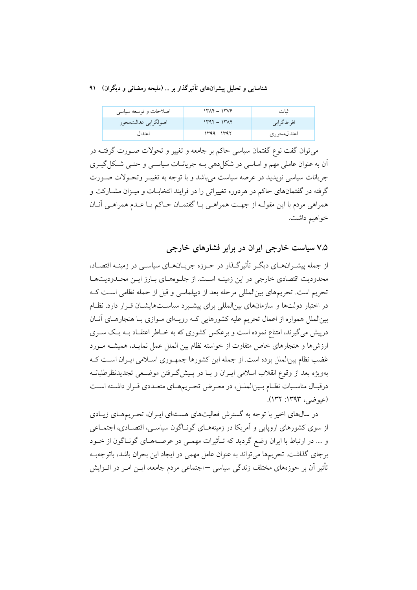| اصلاحات و توسعه سیاسی | $14\pi + 14\pi$ | شات         |
|-----------------------|-----------------|-------------|
| اصولگرايي عدالتمحور   | $1497 - 1774$   | افراطگرایی  |
| اعتدال                | 1399-1397       | اعتدال.حوري |

می توان گفت نوع گفتمان سیاسی حاکم بر جامعه و تغییر و تحولات صـورت گرفتــه در ان به عنوان عاملی مهم و اساسی در شکل(هی بـه جریانــات سیاســی و حتــی شــکل گیــری جریانات سیاسی نوپدید در عرصه سیاست میباشد و با توجه به تغییـر وتحـولات صـورت گرفته در گفتمانهای حاکم در هردوره تغییراتی را در فرایند انتخابـات و میـزان مشــارکت و همراهي مردم با اين مقولـه از جهـت همراهـي بــا گفتمــان حــاكم يــا عــدم همراهــي أنــان خواهيم داشت.

۷.۵ سیاست خارجی ایران در برابر فشارهای خارجی

از جمله پشــرانهــای دیگـر تأثیرگــذار در حــوزه جریــانهــای سیاســی در زمینـه اقتصــاد، محدودیت اقتصادی خارجی در این زمینـه اسـت. از جلـوههـای بـارز ایـن محـدودیتهـا تحریم است. تحریمهای بین|لمللی مرحله بعد از دیپلماسی و قبل از حمله نظامی است کـه در اختیار دولتها و سازمانهای بین|لمللی برای پیشـبرد سیاســتهایشــان قــرار دارد. نظــام بین|لملل همواره از اعمال تحریم علیه کشورهایی کـه رویـهای مـوازی بـا هنجارهـای آنــان درییش می گیرند، امتناع نموده است و برعکس کشوری که به خـاطر اعتقـاد بــه یـک ســری ارزش ها و هنجارهای خاص متفاوت از خواسته نظام بین الملل عمل نمایـد. همیشــه مــورد غضب نظام بینالملل بوده است. از جمله این کشورها جمهوری اسلامی ایـران اسـت کـه بهويژه بعد از وقوع انقلاب اسلامي ايـران و بــا در پـيش2رفتن موضـعي تجديدنظرطلبانــه درقبـال مناسـبات نظـام بـين|لملـل، در معـرض تحـريمهـاي متعـددي قـرار داشـته اسـت (عيوضي، ١٣٩٣: ١٣٢).

در سالهای اخیر با توجه به گسترش فعالیتهای هسـتهای ایـران، تحـریمهـای زیـادی از سوی کشورهای اروپایی و آمریکا در زمینههـای گونـاگون سیاسـی، اقتصـادی، اجتمـاعی و …. در ارتباط با ایران وضع گردید که تـأثیرات مهمـی در عرصـههـای گونـاگون از خـود برجای گذاشت. تحریمها می تواند به عنوان عامل مهمی در ایجاد این بحران باشد، باتوجهب تأثیر آن بر حوزههای مختلف زندگی سیاسی —اجتماعی مردم جامعه، ایــن امــر در افــزایش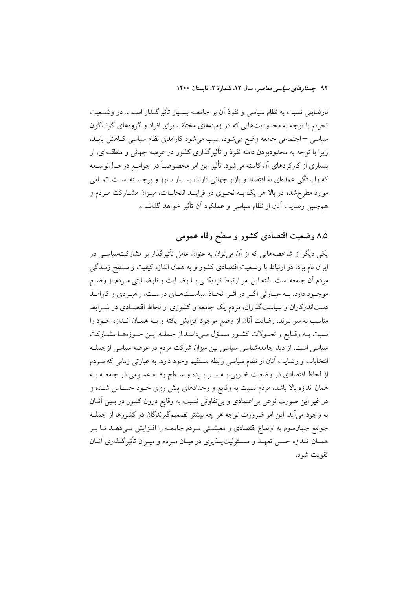نارضایتی نسبت به نظام سیاسی و نفوذ آن بر جامعــه بســیار تأثیرگـذار اســت. در وضــعیت .<br>تحریم با توجه به محدودیتهایی که در زمینههای مختلف برای افراد و گروههای گونـاگون سیاسی –اجتماعی جامعه وضع میشود، سبب میشود کارامدی نظام سیاسی کـاهش یابـد، زیرا با توجه به محدودبودن دامنه نفوذ و تأثیرگذاری کشور در عرصه جهانی و منطقــهای، از بسیاری از کارکردهای آن کاسته میشود. تأثیر این امر مخصوصـاً در جوامـع درحـال¤وسـعه که وابستگی عمدهای به اقتصاد و بازار جهانی دارند، بسـیار بـارز و برجسـته اسـت. تمـامی موارد مطرحشده در بالا هر یک بــه نحــوی در فراینــد انتخابــات، میــزان مشــارکت مــردم و همچنین رضایت آنان از نظام سیاسی و عملکرد آن تأثیر خواهد گذاشت.

## ۸.۵ وضعیت اقتصادی کشور و سطح رفاه عمومی

یکی دیگر از شاخصههایی که از آن می توان به عنوان عامل تأثیر گذار بر مشارکت سیاسـی در ایران نام برد، در ارتباط با وضعیت اقتصادی کشور و به همان اندازه کیفیت و سـطح زنــدگی مردم أن جامعه است. البته اين امر ارتباط نزديكي بــا رضــايت و نارضــايتي مــردم از وضــع موجـود دارد. بـه عبـارتي اگـر در اثـر اتخـاذ سياسـتهـاي درسـت، راهبـردي و كارامـد دستاندرکاران و سیاستگذاران، مردم یک جامعه و کشوری از لحاظ اقتصـادی در شــرایط مناسب به سر ببرند، رضایت آنان از وضع موجود افزایش یافته و بــه همــان انــدازه خــود را نسبت بـه وقـايع و تحـولات كشـور مسـؤل مـىداننـد.از جملـه ايـن حـوزههـا مشـاركت سیاسی است. از دید جامعهشناسی سیاسی بین میزان شرکت مردم در عرصه سیاسی ازجملـه انتخابات و رضایت آنان از نظام سیاسی رابطه مستقیم وجود دارد. به عبارتی زمانی که مـردم از لحاظ اقتصادی در وضعیت خــوبی بــه ســر بــرده و ســطح رفــاه عمــومی در جامعــه بــه همان اندازه بالا باشد، مردم نسبت به وقایع و رخدادهای پیش روی خــود حســاس شــده و در غیر این صورت نوعی بی|عتمادی و بیتفاوتی نسبت به وقایع درون کشور در بـین آنـان به وجود می]ید. این امر ضرورت توجه هر چه بیشتر تصمیمگیرندگان در کشورها از جملـه جوامع جهان سوم به اوضاع اقتصادي و معیشـتی مـردم جامعــه را افــزایش مــیدهــد تــا بــر همـان انـدازه حـس تعهـد و مسـئوليتيـذيري در ميـان مـردم و ميـزان تأثير گـذاري آنــان تقويت شود.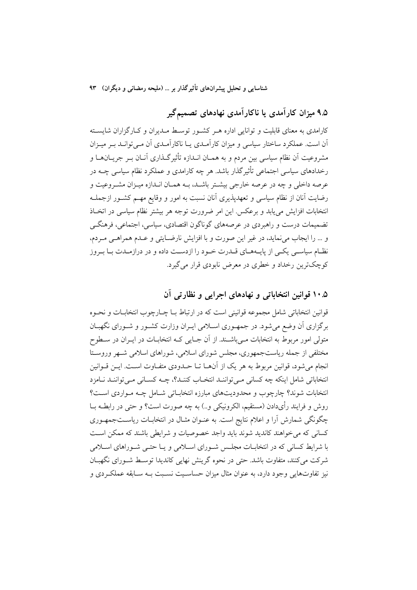۹.۵ میزان کارآمدی یا ناکارآمدی نهادهای تصمیمگیر

کارامدی به معنای قابلیت و توانایی اداره هـر کشـور توسـط مـدیران و کـارگزاران شایسـته اّن است. عملکرد ساختار سیاسی و میزان کاراّمـدی یـا ناکاراّمـدی اّن مـی توانــد بـر میـزان مشروعیت اَن نظام سیاسی بین مردم و به همـان انــدازه تأثیرگــذاری اَنــان بــر جریــان۱هــا و رخدادهای سیاسی اجتماعی تأثیرگذار باشد. هر چه کارامدی و عملکرد نظام سیاسی چــه در عرصه داخلی و چه در عرصه خارجی بیشـتر باشـد، بــه همـان انــدازه میــزان مشــروعیت و رضایت آنان از نظام سیاسی و تعهدیذیری آنان نسبت به امور و وقایع مهـم کشـور ازجملـه انتخابات افزایش می پابد و برعکس این امر ضرورت توجه هر بیشتر نظام سیاسی در اتخباذ تضمیمات درست و راهبردی در عرصههای گوناگون اقتصادی، سیاسی، اجتماعی، فرهنگے و … را ایجاب می نماید، در غیر این صورت و با افزایش نارضـایتی و عــدم همراهــی مــردم، نظـام سیاسـی یکـی از پایــههـای قــدرت خـود را ازدســت داده و در درازمــدت بــا بــروز کوچکترین رخداد و خطری در معرض نابودی قرار می گیرد.

## ۰.۵ قوانین انتخاباتی و نهادهای اجرایی و نظارتی آن

قوانين انتخاباتي شامل مجموعه قوانيني است كه در ارتباط بــا چــارچوب انتخابــات و نحــوه برگزاری آن وضع میشود. در جمهوری اسلامی ایـران وزارت کشـور و شـورای نگهبـان متولی امور مربوط به انتخابات مـیباشـند. از آن جـایی کـه انتخابــات در ایــران در ســطوح مختلفی از جمله ریاستجمهوری، مجلس شورای اسلامی، شوراهای اسلامی شـهر وروسـتا انجام می شود، قوانین مربوط به هر یک از آنهـا تـا حـدودی متفـاوت اسـت. ایــن قــوانین انتخاباتی شامل اینکه چه کسانی مـیتواننـد انتخـاب کننـد؟، چــه کسـانی مـیتواننـد نـامزد انتخابات شوند؟ چارچوب و محدودیتهای مبارزه انتخاباتی شـامل چـه مـواردی اسـت؟ روش و فرایند رأیدادن (مستقیم، الکرونیکی و..) به چه صورت است؟ و حتی در رابطـه بــا چگونگی شمارش آرا و اعلام نتایج است. به عنـوان مثـال در انتخابــات ریاســتجمهـوری کسانی که می خواهند کاندید شوند باید واجد خصوصیات و شرایطی باشند که ممکن است با شرایط کسانی که در انتخابــات مجلــس شــورای اســلامی و یــا حتــی شــوراهای اســلامی شرکت میکنند، متفاوت باشد. حتی در نحوه گرینش نهایی کاندیدا توسط شـورای نگهبـان نیز تفاوتهایی وجود دارد، به عنوان مثال میزان حساسیت نسبت بـه سـایقه عملک دی و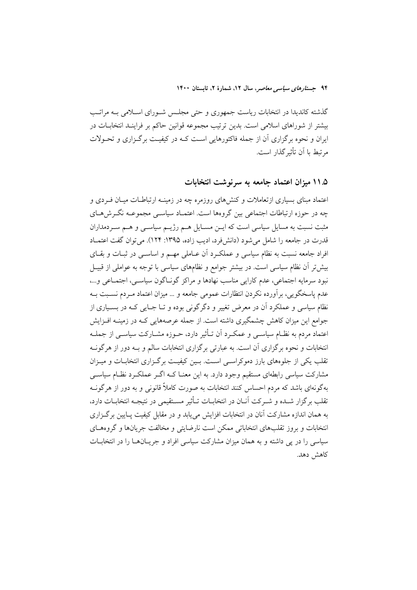گذشته کاندیدا در انتخابات ریاست جمهوری و حتی مجلس شورای اسلامی بـه مراتـب بیشتر از شوراهای اسلامی است. بدین ترتیب مجموعه قوانین حاکم بر فراینـد انتخابــات در ایران و نحوه برگزاری آن از جمله فاکتورهایی است کـه در کیفیـت برگـزاری و تحـولات م تبط با آن تأثیر گذار است.

### ۱۱.۵ میزان اعتماد حامعه به سرنوشت انتخابات

اعتماد مبنای بسیاری ازتعاملات و کنشهای روزمره چه در زمینـه ارتباطـات میـان فـردی و چه در حوزه ارتباطات اجتماعی بین گروهها است. اعتمـاد سیاســی مجموعــه نگــرشهــای مثبت نسبت به مسایل سیاسی است که ایــن مســایل هــم رژیــم سیاســی و هــم ســردمداران قدرت در جامعه را شامل می شود (دانش فرد، ادیب زاده، ۱۳۹۵: ۱۲۴). می توان گفت اعتمــاد افراد جامعه نسبت به نظام سیاسی و عملک د آن عـاملی مهــم و اساســی در ثبــات و بقــای بیش تر آن نظام سیاسی است. در بیشتر جوامع و نظامهای سیاسی با توجه به عواملی از قبیـل نبود سرمايه اجتماعي، عدم كارايي مناسب نهادها و مراكز گونــاگون سياســي، اجتمــاعي و...، عدم یاسخگویی، بر آورده نکردن انتظارات عمومی جامعه و … میزان اعتماد مـردم نسـبت بــه نظام سیاسی و عملکرد آن در معرض تغییر و دگرگونی بوده و تــا جــایی کــه در بســیاری از جوامع این میزان کاهش چشمگیری داشته است. از جمله عرصههایی کـه در زمینـه افـزایش اعتماد مردم به نظـام سیاســی و عمکــرد اَن تــأثیر دارد، حــوزه مشــارکت سیاســی از جملــه انتخابات و نحوه برگزاری آن است. به عبارتی برگزاری انتخابات سالم و بـه دور از هرگونــه تقلب یکی از جلوههای بارز دموکراسـی اسـت. بـین کیفیـت برگـزاری انتخابـات و میـزان مشارکت سیاسی رابطهای مستقیم وجود دارد. به این معنـا کــه اگــر عملکــرد نظــام سیاســی بهگونهای باشد که مردم احساس کنند انتخابات به صورت کاملاً قانونی و به دور از هرگونــه تقلب برگزار شـده و شـرکت آنـان در انتخابـات تـأثير مسـتقيمي در نتيجـه انتخابــات دارد، به همان اندازه مشارکت آنان در انتخابات افزایش می باید و در مقابل کیفیت پیایین برگیزاری انتخابات و بروز تقلبهای انتخاباتی ممکن است نارضایتی و مخالفت جریانها و گروههای سیاسی را در پی داشته و به همان میزان مشارکت سیاسی افراد و جریــانهــا را در انتخابــات كاهش دهد.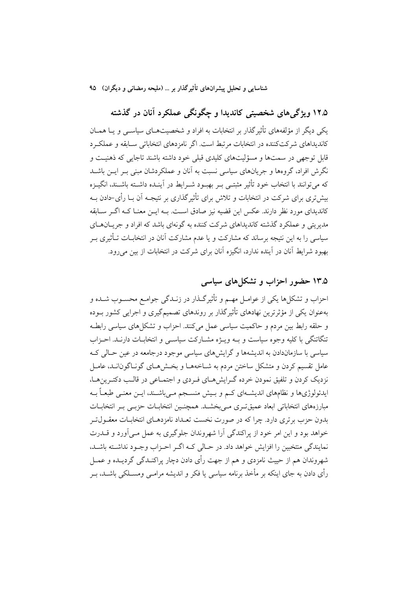۱۲.۵ ویژگی های شخصیتی کاندیدا و چگونگی عملکرد آنان در گذشته یکی دیگر از مؤلفههای تأثیرگذار بر انتخابات به افراد و شخصیتهـای سیاسـبی و یــا همــان کاندیداهای شرکتکننده در انتخابات مرتبط است. اگر نامزدهای انتخاباتی سـابقه و عملکـرد قابل توجهي در سمتها و مسؤليتهاي كليدي قبلي خود داشته باشند تاجايي كه ذهنيـت و نگرش افراد، گروهها و جریانهای سیاسی نسبت به آنان و عملکردشان مبنی بـر ایــن باشــد كه مي توانند با انتخاب خود تأثير مثبتـي بـر بهبـود شـرايط در آينـده داشـته باشـند، انگيـزه بیش تری برای شرکت در انتخابات و تلاش برای تأثیر گذاری بر نتیجــه آن بــا رأی-دادن بــه کاندیدای مورد نظر دارند. عکس این قضیه نیز صادق اسـت. بــه ایــن معنــا کــه اگــر ســابقه مدیریتی و عملکرد گذشته کاندیداهای شرکت کننده به گونهای باشد که افراد و جریــان۱هــای سیاسی را به این نتیجه برساند که مشارکت و یا عدم مشارکت آنان در انتخابــات تــأثیری بــر بهبود شرايط آنان در آينده ندارد، انگيزه آنان براي شركت در انتخابات از بين مي رود.

## ۱۳.۵ حضور احزاب و تشکل های سیاسی

احزاب و تشکلها یکی از عوامـل مهـم و تأثیرگـذار در زنـدگی جوامـع محسـوب شـده و بهعنوان یکی از مؤثرترین نهادهای تأثیرگذار بر روندهای تصمیمگیری و اجرایی کشور بــوده و حلقه رابط بین مردم و حاکمیت سیاسی عمل میکنند. احزاب و تشکل های سیاسی رابطـه تنگاتنگی با کلیه وجوه سیاست و بـه ویـژه مشـارکت سیاسـی و انتخابـات دارنـد. احـزاب سیاسی با سازماندادن به اندیشهها و گرایشهای سیاسی موجود درجامعه در عین حـالی کـه عامل تقسیم کردن و متشکل ساختن مردم به شـاخههـا و بخـش۵حای گونـاگون|نــد، عامــل نزدیک کردن و تلفیق نمودن خرده گـرایشهـای فـردی و اجتمـاعی در قالـب دکتـرینهـا، ایدئولوژیها و نظامهای اندیشـهای کـم و بـیش منسـجم مـیباشـند، ایــن معنـی طبعــاً بــه مبارزههای انتخاباتی ابعاد عمیقت ی می بخشـد. همچنـین انتخابـات حزبـی بـر انتخابـات بدون جزب برتری دارد. چرا که در صورت نخست تعبداد نامزدهبای انتخابیات معقبول تبر خواهد بود و این امر خود از پراکندگی آرا شهروندان جلوگیری به عمل مـی آورد و قـــدرت نمایندگی منتخبین را افزایش خواهد داد. در حـالی کـه اگـر احـزاب وجـود نداشــته باشــد، شهروندان هم از حییث نامزدی و هم از جهت رأی دادن دچار پراکنـدگی گردیـده و عمــل رأی دادن به جای اینکه بر مأخذ برنامه سیاسی یا فکر و اندیشه مرامبی ومسـلکی باشـد، پـر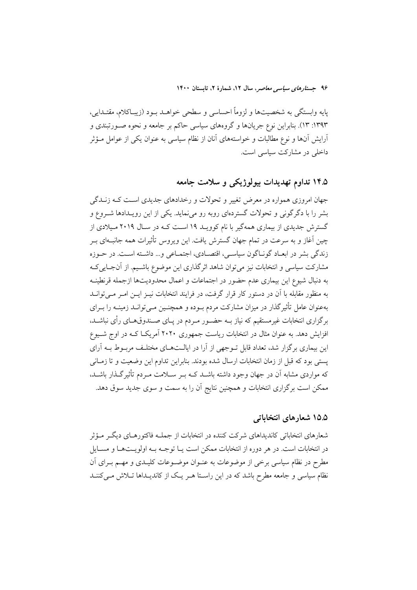پایه وابستگی به شخصیتها و لزوماً احساسی و سطحی خواهـد بـود (زیبـاکلام، مقتـدایی، ۱۳۹۳: ۱۳). بنابراین نوع جریانها و گروههای سیاسی حاکم بر جامعه و نحوه صـورتبندی و آرایش آنها و نوع مطالبات و خواستههای آنان از نظام سیاسی به عنوان یکی از عوامل مــؤثر داخلی در مشارکت سیاسی است.

## ۱۴.۵ تداوم تهدیدات بیولوژیکی و سلامت جامعه

جهان امروزی همواره در معرض تغییر و تحولات و رخدادهای جدیدی است کـه زنــدگی بشر را با دگر گونی و تحولات گستردهای روبه رو می نماید. یکی از این رویـدادها شــروع و گسترش جدیدی از بیماری همهگیر با نام کوویـد ۱۹ اســت کـه در ســال ۲۰۱۹ مـیلادی از چین آغاز و به سرعت در تمام جهان گسترش یافت. این ویروس تأثیرات همه جانبـهای بـر زندگی بشر در ابعـاد گونـاگون سیاسـی، اقتصـادی، اجتمـاعی و... داشـته اسـت. در حـوزه مشارکت سیاسی و انتخابات نیز میتوان شاهد اثرگذاری این موضوع باشـیم. از آنجـاییکـه به دنبال شیوع این بیماری عدم حضور در اجتماعات و اعمال محدودیتها ازجمله قرنطینــه به منظور مقابله با آن در دستور کار قرار گرفت، در فرایند انتخابات نیـز ایـن امـر مـیتوانـد بهعنوان عامل تأثیرگذار در میزان مشارکت مردم بـوده و همچنـین مـیتوانــد زمینــه را بــرای برگزاری انتخابات غیرمستقیم که نیاز بـه حضـور مـردم در پـای صـندوقهـای رأی نباشـد، افزایش دهد. به عنوان مثال در انتخابات ریاست جمهوری ۲۰۲۰ آمریک) کـه در اوج شـیوع این بیماری برگزار شد، تعداد قابل تـوجهی از آرا در ایالـتهـای مختلـف مربـوط بـه آرای يستي بود كه قبل از زمان انتخابات ارسال شده بودند. بنابراين تداوم اين وضعيت و تا زمــاني که مواردی مشابه آن در جهان وجود داشته باشــد کــه بــر ســلامت مــردم تأثیرگــذار باشــد، ممکن است برگزاری انتخابات و همچنین نتایج آن را به سمت و سوی جدید سوق دهد.

### ۱۵.۵ شعارهای انتخاباتی

شعارهای انتخاباتی کاندیداهای شرکت کننده در انتخابات از جملـه فاکتورهـای دیگـر مـؤثر در انتخابات است. در هر دوره از انتخابات ممکن است یـا توجــه بــه اولویــتهـا و مســایل مطرح در نظام سیاسی برخی از موضوعات به عنـوان موضـوعات کلیـدی و مهـم بـرای آن نظام سیاسی و جامعه مطرح باشد که در این راسـتا هـر یـک از کاندیـداها تـلاش مـیکننـد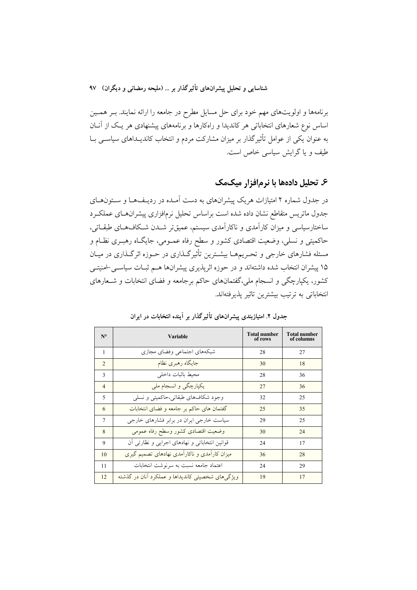برنامهها و اولویتهای مهم خود برای حل مسایل مطرح در جامعه را ارائه نمایند. بـر همـین اساس نوع شعارهای انتخاباتی هر کاندیدا و راهکارها و برنامههای پیشنهادی هر یک از آنان به عنوان یکی از عوامل تأثیرگذار بر میزان مشارکت مردم و انتخاب کاندیــداهای سیاســی بــا طیف و یا گرایش سیاسی خاص است.

### ۶. تحلیل دادهها با نرمافزار میکمک

در جدول شماره ۲ امتیازات هریک پیشرانهای به دست آمـده در ردیـفAا و سـتونهـای جدول ماتريس متقاطع نشان داده شده است براساس تحليل نرمافزارى پيشرانهـاى عملكـرد ساختارسیاسی و میزان کارآمدی و ناکارآمدی سیستم، عمیقتر شــدن شــکافهـای طبقـاتی، حاکمیتی و نسلی، وضعیت اقتصادی کشور و سطح رفاه عمـومی، جایگــاه رهبــری نظــام و مسئله فشارهای خارجی و تحـریمهـا بیشـترین تأثیرگـذاری در حـوزه اثرگـذاری در میـان ۱۵ پیشران انتخاب شده داشتهاند و در حوزه اثرپذیری پیشرانها هـم ثبـات سیاســی-امنیتــی کشور، یکپارچگی و انسجام ملی،گفتمانهای حاکم برجامعه و فضای انتخابات و شـعارهای انتخاباتی به ترتیب بیشترین تاثیر پذیرفتهاند.

| N <sup>o</sup> | <b>Variable</b>                                  | <b>Total number</b><br>of rows | <b>Total number</b><br>of columns |
|----------------|--------------------------------------------------|--------------------------------|-----------------------------------|
| 1              | شبكههاى اجتماعى وفضاى مجازى                      | 28                             | 27                                |
| $\overline{2}$ | جایگاه رهبری نظام                                | 30                             | 18                                |
| $\mathbf{3}$   | محيط باثبات داخلي                                | 28                             | 36                                |
| $\overline{4}$ | یکپارچگی و انسجام ملی                            | 27                             | 36                                |
| 5              | وجود شکافهای طبقاتی،حاکمیتی و نسلی               | 32                             | 25                                |
| 6              | گفتمان های حاکم بر جامعه و فضای انتخابات         | 25                             | 35                                |
| 7              | سیاست خارجی ایران در برابر فشارهای خارجی         | 29                             | 25                                |
| 8              | وضعيت اقتصادى كشور وسطح رفاه عمومى               | 30                             | 24                                |
| 9              | قوانین انتخاباتی و نهادهای اجرایی و نظارتی آن    | 24                             | 17                                |
| 10             | میزان کارآمدی و ناکارآمدی نهادهای تصمیم گیری     | 36                             | 28                                |
| 11             | اعتماد جامعه نسبت به سرنوشت انتخابات             | 24                             | 29                                |
| 12             | ویژگیهای شخصیتی کاندیداها و عملکرد آنان در گذشته | 19                             | 17                                |

جدول ۲. امتیازبندی پیشرانهای تأثیرگذار بر آینده انتخابات در ایران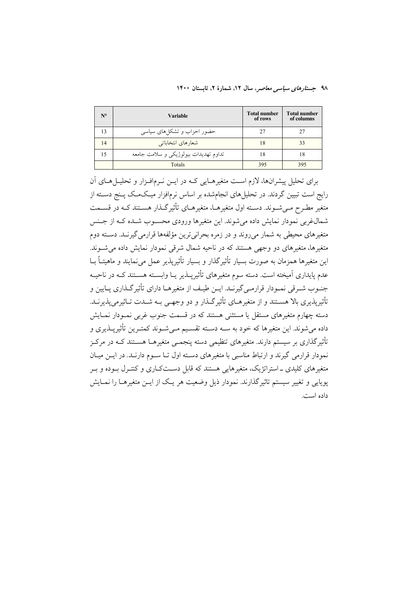| N <sup>o</sup> | Variable                              | <b>Total number</b><br>of rows | <b>Total number</b><br>of columns |
|----------------|---------------------------------------|--------------------------------|-----------------------------------|
| 13             | حضور احزاب و تشکلهای سیاسی            |                                | 27                                |
| 14             | شعارهاي انتخاباتي                     | 18                             | 33                                |
| 15             | تداوم تهديدات بيولوژيکي و سلامت جامعه | 18                             | 18                                |
|                | Totals                                | 395                            | 395                               |

برای تحلیل پیشرانها، لازم است متغیرهـایی کـه در ایــن نــرمافــزار و تحلیــل هــای اَن رایج است تبیین گردند. در تحلیلهای انجامشده بر اساس نرمافزار میکمک پـنج دسـته از متغیر مطـرح مـی شـوند. دسـته اول متغیرهــا، متغیرهــای تأثیر گــذار هســتند کــه در قســمت شمال غربی نمودار نمایش داده می شوند. این متغیرها ورودی محسـوب شـده کـه از جـنس متغیرهای محیطی به شمار می روند و در زمره بحرانی ترین مؤلفهها قرارمی گیرنـد. دسـته دوم متغیرها، متغیرهای دو وجهی هستند که در ناحیه شمال شرقی نمودار نمایش داده می شـوند. این متغیرها همزمان به صورت بسیار تأثیرگذار و بسیار تأثیرپذیر عمل می نمایند و ماهیتــاً بــا عدم پایداری آمیخته است. دسته سوم متغیرهای تأثیرپــذیر یــا وابســته هســتند کــه در ناحیــه جنـوب شـرقي نمـودار قرارمـي گيرنــد. ايــن طيـف از متغيرهــا داراي تأثير گــذاري پــايين و تأثیریذیری بالا هســتند و از متغیرهــای تأثیرگــذار و دو وجهــی بــه شــدت تــاثیرمی پذیرنــد. دسته چهارم متغیرهای مستقل یا مستثنی هستند که در قسمت جنوب غربی نمـودار نمـایش داده می شوند. این متغیرها که خود به ســه دســته تقســیم مــی شــوند کمتــرین تأثیریــذیری و تأثیر گذاری بر سیستم دارند. متغیرهای تنظیمی دسته پنجمــی متغیرهــا هســتند کــه در مرکــز نمودار قرارمی گیرند و ارتباط مناسبی با متغیرهای دسـته اول تــا ســوم دارنــد. در ایــن میــان .<br>متغیرهای کلیدی ــ استراتژیک، متغیرهایی هستند که قابل دسـتکـاری و کنتـرل بــوده و بــر یوپایی و تغییر سیستم تاثیر گذارند. نمودار ذیل وضعیت هر یـک از ایــن متغیرهــا را نمــایش داده است.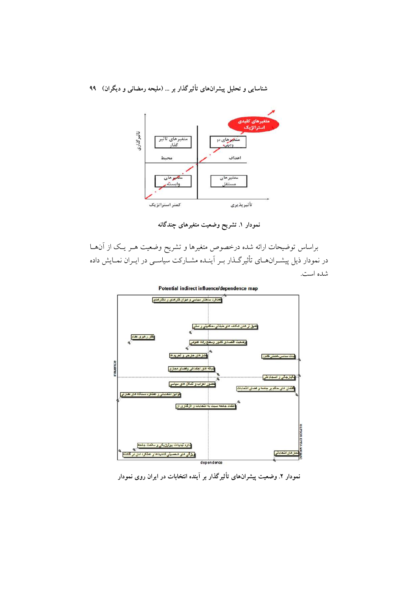

نمودار ۱. تشریح وضعیت متغیرهای چندگانه

براساس توضیحات ارائه شده درخصوص متغیرها و تشریح وضعیت هـر یـک از آنهـا در نمودار ذیل پیشـرانهــای تأثیرگــذار بــر اَینــده مشــارکت سیاســی در ایــران نمــایش داده شده است.

Potential indirect influence/dependence map



نمودار ۲. وضعیت پیشرانهای تأثیرگذار بر آینده انتخابات در ایران روی نمودار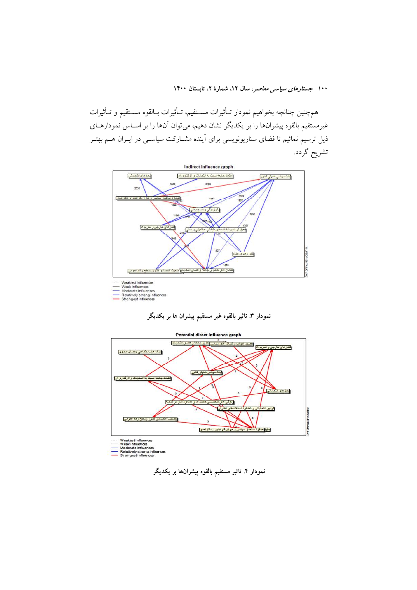همهجنين چنانچه بخواهيم نمودار تـأثيرات مسـتقيم، تـأثيرات بـالقوه مسـتقيم و تـأثيرات غیرمستقیم بالقوه پیشرانها را بر یکدیگر نشان دهیم، می توان آنها را بر اســاس نمودارهــای ذیل ترسیم نمائیم تا فضای سناریونویسی برای آینده مشــارکت سیاســی در ایــران هــم بهتــر تشريح گردد.







نمودار ۴. تاثیر مستقیم بالقوه پیشرانها بر یکدیگر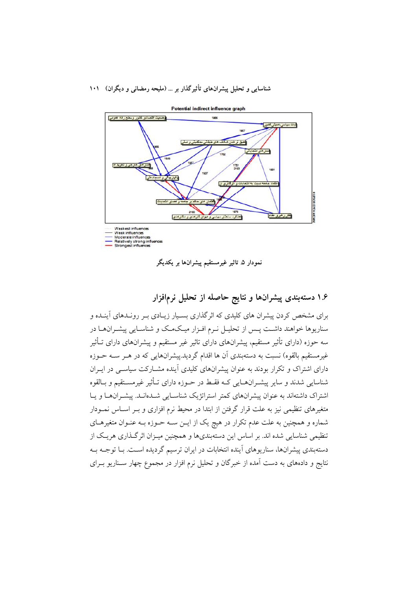

نمودار ۵ تاثیر غیرمستقیم پیشرانها بر یکدیگر

## ۱.۶ دستهبندی پیشرانها و نتایج حاصله از تحلیل نرمافزار

برای مشخص کردن پیشران های کلیدی که اثر گذاری بسـیار زیـادی بـر رونـدهای آینـده و سناریوها خواهند داشت پـس از تحلیـل نـرم افـزار میـکـمـک و شناسـایی پیشـرانهـا در سه حوزه (دارای تأثیر مستقیم، پیشرانهای دارای تاثیر غیر مستقیم و پیشرانهای دارای تــأثیر غیرمستقیم بالقوه) نسبت به دستهبندی آن ها اقدام گردید.پیشرانهایی که در هـر ســه حــوزه دارای اشتراک و تکرار بودند به عنوان پیشرانهای کلیدی آینده مشــارکت سیاســی در ایــران شناسایی شدند و سایر پیشـرانهــایی کــه فقـط در حــوزه دارای تــأثیر غیرمســتقیم و بــالقوه اشتراک داشتهاند به عنوان پیشرانهای کمتر استراتژیک شناسـایی شــدهانــد. پیشــرانهــا و یــا متغیرهای تنظیمی نیز به علت قرار گرفتن از ابتدا در محیط نرم افزاری و بــر اســاس نمــودار شماره و همچنین به علت عدم تکرار در هیچ یک از ایـن سـه حـوزه بـه عنـوان متغیرهـای تنظیمی شناسایی شده اند. بر اساس این دستهبندیها و همچنین میـزان اثرگـذاری هریـک از دستهبندي پيشرانها، سناريوهاي آينده انتخابات در ايران ترسيم گرديده اسـت. بـا توجـه بـه نتایج و دادههای به دست آمده از خبرگان و تحلیل نرم افزار در مجموع چهار سـناریو بـرای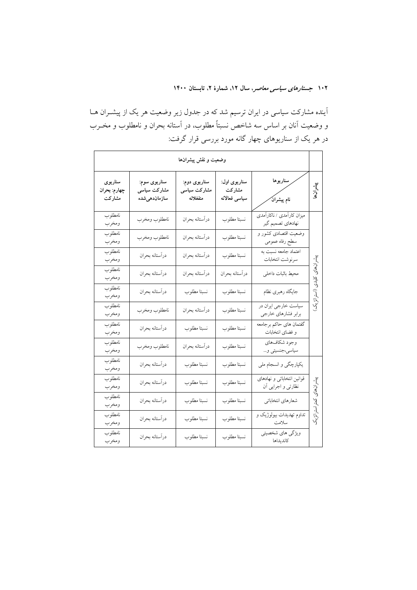آینده مشارکت سیاسی در ایران ترسیم شد که در جدول زیر وضعیت هر یک از پیشــران هــا و وضعیت آنان بر اساس سه شاخص نسبتاً مطلوب، در آستانه بحران و نامطلوب و مخــرب در هر یک از سناریوهای چهار گانه مورد بررسی قرار گرفت:

|                                   | وضعيت و نقش پيشرانها                          |                                          |                                         |                                                   |               |  |  |  |  |  |  |
|-----------------------------------|-----------------------------------------------|------------------------------------------|-----------------------------------------|---------------------------------------------------|---------------|--|--|--|--|--|--|
| سناريوى<br>چهارم: بحران<br>مشاركت | سناريوي سوم:<br>مشارکت سیاسی<br>سازماندهى شده | سناريوی دوم:<br>مشارکت سیاسی<br>منفغلانه | سناريوی اول:<br>مشاركت<br>سياسى فعالانه | سناريوها<br>پر<br>نام پیشرانَ                     | يشرانها       |  |  |  |  |  |  |
| نامطلوب<br>ومخرب                  | نامطلوب ومخرب                                 | درأستانه بحران                           | .<br>نسبتا مطلوب                        | میزان کارآمدی / ناکارآمدی<br>نهادهاي تصميم گير    |               |  |  |  |  |  |  |
| نامطلوب<br>ومخرب                  | نامطلوب ومخرب                                 | درأستانه بحران                           | .<br>نسبتا مطلوب                        | __<br>وضعیت اقتصادی کشور و<br>سطح رفاه عمومي      |               |  |  |  |  |  |  |
| نامطلوب<br>ومخرب                  | درآستانه بحران                                | درأستانه بحران                           | نسبتا مطلوب                             | اعتماد جامعه نسبت به<br>سرنوشت انتخابات           | پیشر ان های   |  |  |  |  |  |  |
| نامطلوب<br>ومخرب                  | درآستانه بحران                                | درأستانه بحران                           | درآستانه بحران                          | محيط باثبات داخلي                                 | كليدى         |  |  |  |  |  |  |
| نامطلوب<br>ومخرب                  | درآستانه بحران                                | نسبتا مطلوب                              | نسبتا مطلوب                             | جايگاه رهبرى نظام                                 | (استراتؤيك)   |  |  |  |  |  |  |
| نامطلوب<br>ومخرب                  | نامطلوب ومخرب                                 | درآستانه بحران                           | نسبتا مطلوب                             | سیاست خارجی ایران در<br>برابر فشارهاي خارجي       |               |  |  |  |  |  |  |
| نامطلوب<br>ومخرب                  | درأستانه بحران                                | نسبتا مطلوب                              | .<br>نسبتا مطلوب                        | گفتمان هاي حاكم برجامعه<br>و فضای انتخابات        |               |  |  |  |  |  |  |
| نامطلوب<br>ومخرب                  | نامطلوب ومخرب                                 | درأستانه بحران                           | نسبتا مطلوب                             | وجود شكافهاي<br>سیاسی،جنسیتی و…                   |               |  |  |  |  |  |  |
| نامطلوب<br>ومخرب                  | درآستانه بحران                                | نسبتا مطلوب                              | .<br>نسبتا مطلوب                        | یکپارچگی و انسجام ملی                             |               |  |  |  |  |  |  |
| نامطلوب<br>ومخرب                  | درآستانه بحران                                | نسبتا مطلوب                              | نسبتا مطلوب                             | قوانین انتخاباتی و نهادهای<br>نظارتی و اجرایی اَن | پیشرانهای     |  |  |  |  |  |  |
| نامطلوب<br>ومخرب                  | درآستانه بحران                                | نسبتا مطلوب                              | .<br>نسبتا مطلوب                        | شعارهاي انتخاباتي                                 |               |  |  |  |  |  |  |
| نامطلوب<br>ومخرب                  | درآستانه بحران                                | نسبتا مطلوب                              | نسبتا مطلوب                             | تداوم تهدیدات بیولوژیک و<br>سلامت                 | كمتراستراتژيك |  |  |  |  |  |  |
| نامطلوب<br>ومخرب                  | درأستانه بحران                                | نسبتا مطلوب                              | نسبتا مطلوب                             | ویژگی های شخصیتی<br>كانديداها                     |               |  |  |  |  |  |  |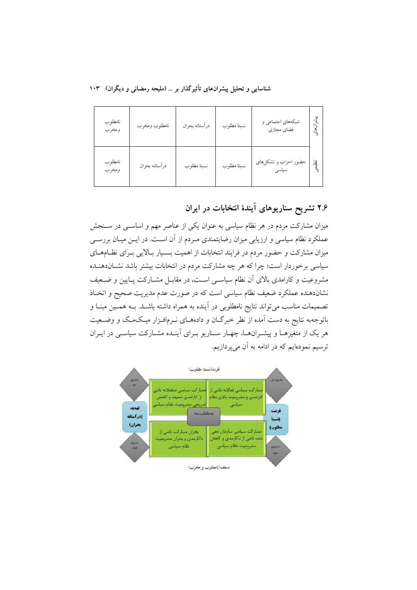| نامطلوب<br>ومخرب | نامطلوب ومخرب  | درأستانه بحران | نسبتا مطلوب | شبکههای اجتماعی و<br>فضاي مجازى | -}<br>ان های   |
|------------------|----------------|----------------|-------------|---------------------------------|----------------|
| نامطلوب<br>ومخرب | درأستانه بحران | نسبتا مطلوب    | نسبتا مطلوب | حضور احزاب و تشكلهاي<br>سياسى   | $\mathbb{R}^2$ |

۲.۶ تشریح سناریوهای آیندهٔ انتخابات در ایران

میزان مشارکت مردم در هر نظام سیاسی به عنوان یکی از عناصر مهم و اساســی در ســنجش عملکرد نظام سیاسی و ارزیابی میزان رضایتمندی مـردم از آن اسـت. در ایــن میـان بررســی میزان مشارکت و حضور مردم در فرایند انتخابات از اهمیت بسـیار بـالایی بـرای نظـامهـای سیاسی برخوردار است؛ چرا که هر چه مشارکت مردم در انتخابات بیشتر باشد نشــاندهنــده مشروعیت و کارامدی بالای آن نظام سیاسی است، در مقابـل مشــارکت پــایین و ضــعیف نشاندهنده عملکرد ضعیف نظام سیاسی است که در صورت عدم مدیریت صحیح و اتخـاذ تصمیمات مناسب می تواند نتایج نامطلوبی در آینده به همراه داشته باشـد. بــه همــین مبنــا و باتوجهبه نتایج به دست آمده از نظر خبرگـان و دادههـای نـرمافـزار میـکمـک و وضـعیت هر یک از متغیرهـا و پیشـرانهـا، چهـار سـناریو بـرای آینـده مشـارکت سیاســ در ایـران ترسیم نمودهایم که در ادامه به آن میپردازیم.

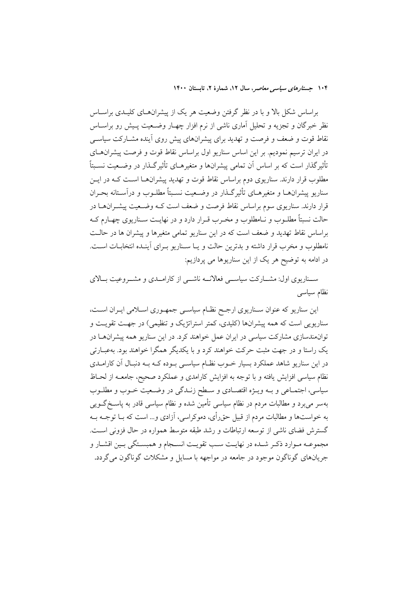براساس شکل بالا و با در نظر گرفتن وضعیت هر یک از پیشران های کلیـدی براسـاس نظر خبرگان و تجزیه و تحلیل آماری ناشی از نرم افزار چهـار وضـعیت پـیش رو براســاس نقاط قوت و ضعف و فرصت و تهدید برای پیشرانهای پیش روی آینده مشـارکت سیاســی در ایران ترسیم نمودیم. بر این اساس سناریو اول براساس نقاط قوت و فرصت پیشران حای تأثیر گذار است که بر اساس اَن تمامی پیشرانها و متغیرهــای تأثیر گــذار در وضــعیت نســبتاً مطلوب قرار دارند. سناریوی دوم براساس نقاط قوت و تهدید پیشرانهـا اسـت کــه در ایــن سناریو پیشرانهـا و متغیرهـای تأثیرگـذار در وضـعیت نسـبتاً مطلـوب و درآسـتانه بحـران قرار دارند. سناریوی سوم براساس نقاط فرصت و ضعف است کـه وضـعیت پیشـرانهــا در حالت نسبتاً مطلــوب و نــامطلوب و مخــرب قــرار دارد و در نهايــت ســناريوى چهــارم كــه براساس نقاط تهدید و ضعف است که در این سناریو تمامی متغیرها و پیشران ها در حالـت نامطلوب و مخرب قرار داشته و بدترین حالت و یـا سـناریو بـرای آینـده انتخابـات اسـت. در ادامه به توضیح هر یک از این سناریوها می پردازیم:

سـناریوی اول: مشــارکت سیاســی فعالانــه ناشــی از کارامــدی و مشــروعیت بــالای نظام سياسى

این سناریو که عنوان ســناریوی ارجـح نظــام سیاســی جمهـوری اســلامی ایــران اســت، سناریویی است که همه پیشرانها (کلیدی، کمتر استراتژیک و تنظیمی) در جهت تقویت و توانهندسازی مشارکت سیاسی در ایران عمل خواهند کرد. در این سناریو همه پیشرانهـا در یک راستا و در جهت مثبت حرکت خواهند کرد و با یکدیگر همگرا خواهند بود. بهعبــارتی در این سناریو شاهد عملکرد بسیار خــوب نظــام سیاســی بــوده کــه بــه دنبـال آن کارامــدی نظام سیاسی افزایش یافته و با توجه به افزایش کارامدی و عملکرد صحیح، جامعــه از لحــاظ سیاسی، اجتمـاعی و بــه ویــژه اقتصــادی و ســطح زنــدگی در وضــعیت خــوب و مطلــوب بهسر می,برد و مطالبات مردم در نظام سیاسی تأمین شده و نظام سیاسی قادر به پاسـخ گــویی به خواستها و مطالبات مردم از قبیل حق رأی، دموکراسی، آزادی و… است که بــا توجــه بــه گسترش فضای ناشی از توسعه ارتباطات و رشد طبقه متوسط همواره در حال فزونی است. مجموعـه مـوارد ذكـر شـده در نهايـت سـب تقويـت انسـجام و همبسـتگي بـين اقشـار و جريانهاي گوناگون موجود در جامعه در مواجهه با مسايل و مشكلات گوناگون مي گردد.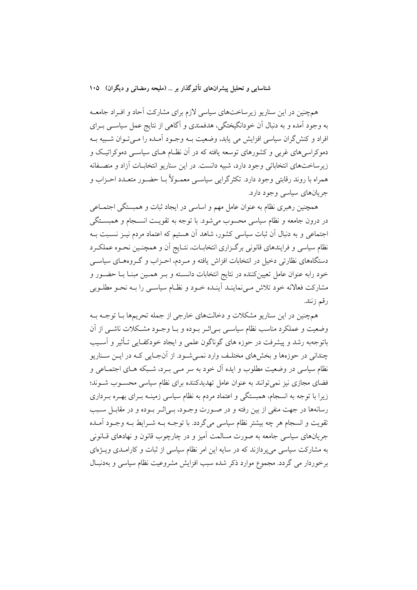همچنین در این سناریو زیرساختهای سیاسی لازم برای مشارکت آحاد و افـراد جامعــه به وجود آمده و به دنبال آن خودانگیختگی، هدفمندی و آگاهی از نتایج عمل سیاســی بــرای افراد و کنش گران سیاسی افزایش می یابد، وضعیت بــه وجــود آمــده را مــیتــوان شــبیه بــه دموکراسی های غربی و کشورهای توسعه یافته که در آن نظـام هـای سیاســی دموکراتیــک و زیرساختهای انتخاباتی وجود دارد، شبیه دانست. در این سناریو انتخابـات آزاد و منصـفانه همراه با روند رقابتی وجود دارد. تکثرگرایی سیاسـی معمـولاً بــا حضـور متعــدد احــزاب و جریانهای سیاسی وجود دارد.

همچنین رهبری نظام به عنوان عامل مهم و اساسی در ایجاد ثبات و همبستگی اجتمـاعی در درون جامعه و نظام سیاسی محسوب می شود. با توجه به تقویـت انســجام و همبســتگی اجتماعی و به دنبال آن ثبات سیاسی کشور، شاهد آن هستیم که اعتماد مردم نیـز نسـبت بـه نظام سیاسی و فرایندهای قانونی برگـزاری انتخابــات، نتــایج آن و همچنــین نحــوه عملکــرد دستگاههای نظارتی دخیل در انتخابات افزاش یافته و مـردم، احـزاب و گـروههـای سیاســی خود رابه عنوان عامل تعیینکننده در نتایج انتخابات دانسـته و بـر همـین مبنـا بـا حضـور و مشاركت فعالانه خود تلاش مىىنماينـد أينـده خـود و نظـام سياسـي را بــه نحــو مطلــوبي رقم زنند.

همچنین در این سناریو مشکلات و دخالتهای خارجی از جمله تحریمها بـا توجـه بـه وضعیت و عملکرد مناسب نظام سیاسبی بے اثـر بـوده و بـا وجـود مشـکلات ناشــی از آن باتوجهبه رشد و پیشرفت در حوزه های گوناگون علمی و ایجاد خودکفـایی تــأثیر و اَســیب چنداني در حوزهها و بخشهاي مختلـف وارد نمـي شـود. از آنجـايي كـه در ايــن ســناريو نظام سیاسی در وضعیت مطلوب و ایده آل خود به سر مـی بـرد، شـبکه هـای اجتمـاعی و فضای مجازی نیز نمی توانند به عنوان عامل تهدیدکننده برای نظام سیاسی محسـوب شـوند؛ زیرا با توجه به انسجام، همبستگی و اعتماد مردم به نظام سیاسی زمینــه بــرای بهــره بــرداری رسانهها در جهت منفي از بين رفته و در صـورت وجـود، بـي|ثـر بـوده و در مقابـل سـبب تقویت و انسجام هر چه بیشتر نظام سیاسی میگردد. با توجـه بــه شــرایط بــه وجــود آمــده جریانهای سیاسی جامعه به صورت مسالمت آمیز و در چارچوب قانون و نهادهای قــانونی به مشارکت سیاسی می پردازند که در سایه این امر نظام سیاسی از ثبات و کارامـدی ویــژهای برخوردار می گردد. مجموع موارد ذکر شده سبب افزایش مشروعیت نظام سیاسی و بهدنبـال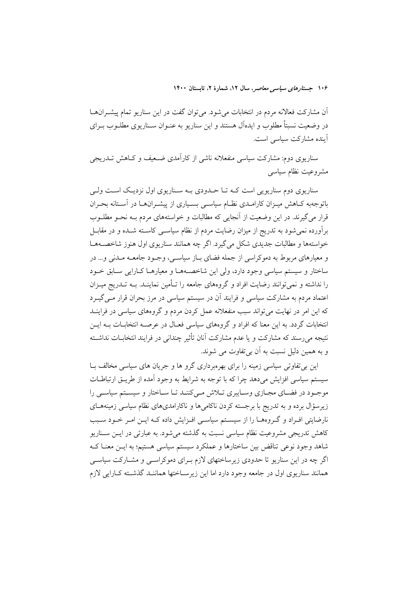آن مشارکت فعالانه مردم در انتخابات میشود. میتوان گفت در این سناریو تمام پیشـرانهـا در وضعیت نسبتاً مطلوب و ایدهآل هستند و این سناریو به عنـوان ســناریوی مطلــوب بــرای آينده مشاركت سياسي است.

سناریوی دوم: مشارکت سیاسی منفعلانه ناشی از کارآمدی ضـعیف و کــاهش تــدریجی مشروعيت نظام سياسى

سناریوی دوم سناریویی است کـه تـا حـدودی بـه سـناریوی اول نزدیـک اسـت ولـی باتوجهبه کـاهش میـزان کارامـدی نظـام سیاسـی بسـیاری از پیشـرانهـا در آسـتانه بحـران قرار می گیرند. در این وضعیت از آنجایی که مطالبات و خواستههای مردم بـه نحــو مطلــوب برآورده نمی شود به تدریج از میزان رضایت مردم از نظام سیاســی کاسـته شــده و در مقابــل خواستهها و مطالبات جدیدی شکل میگیرد. اگر چه همانند سناریوی اول هنوز شاخصـههـا و معیارهای مربوط به دموکراسی از جمله فضای بیاز سیاسی، وجبود جامعیه میدنی و… در ساختار و سیستم سیاسی وجود دارد، ولی این شاخصهها و معیارهـا کـارایی سـابق خـود را نداشته و نمیتوانند رضایت افراد و گروههای جامعه را تـأمین نماینــد. بــه تــدریج میــزان اعتماد مردم به مشارکت سیاسی و فرایند آن در سیستم سیاسی در مرز بحران قرار مـی گیــرد که این امر در نهایت می تواند سبب منفعلانه عمل کردن مردم و گروههای سیاسی در فراینــد انتخابات گردد. به این معنا که افراد و گروههای سیاسی فعـال در عرصـه انتخابـات بـه ایــن نتیجه میرسند که مشارکت و یا عدم مشارکت آنان تأثیر چندانی در فرایند انتخابــات نداشــته و به همين دليل نسبت به آن بي تفاوت مي شوند.

این بی تفاوتی سیاسی زمینه را برای بهرهبرداری گرو ها و جریان های سیاسی مخالف بـا سیستم سیاسی افزایش میدهد چرا که با توجه به شرایط به وجود آمده از طریـق ارتباطـات موجـود در فضـاي مجـازي وسـايبري تـلاش مـيكننـد تـا سـاختار و سيسـتم سياسـي را زیرسؤال برده و به تدریج با برجسته کردن ناکامی۵ها و ناکارامدیهای نظام سیاسی زمینههـای نارضایتی افـراد و گـروههـا را از سیسـتم سیاسـی افـزایش داده کـه ایـن امـر خـود سـبب کاهش تدریجی مشروعیت نظام سیاسی نسبت به گذشته می شود. به عبارتی در ایــز ســناریو شاهد وجود نوعی تناقض بین ساختارها و عملکرد سیستم سیاسی هستیم؛ به ایــن معنــا کــه اگر چه در این سناریو تا حدودی زیرساختهای لازم بـرای دموکراسـی و مشـارکت سیاسـی همانند سناریوی اول در جامعه وجود دارد اما این زیرسـاختها هماننـد گذشـته کـارایی لازم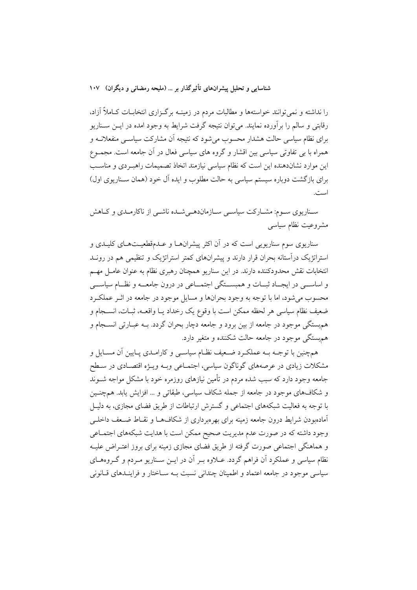را نداشته و نمیتوانند خواستهها و مطالبات مردم در زمینــه برگــزاری انتخابــات کــاملاً آزاد، رقابتی و سالم را برآورده نمایند. می توان نتیجه گرفت شرایط به وجود امده در ایــن ســناریو برای نظام سیاسی حالت هشدار محسوب می شود که نتیجه آن مشارکت سیاسـی منفعلانــه و همراه با بی تفاوتی سیاسی بین اقشار و گروه های سیاسی فعال در آن جامعه است. مجمـوع این موارد نشاندهنده این است که نظام سیاسی نیازمند اتخاذ تصمیمات راهب دی و مناسب برای بازگشت دوباره سیستم سیاسی به حالت مطلوب و ایده آل خود (همان سـناریوی اول) است.

سـناریوی سـوم: مشــارکت سیاســی ســازماندهــی شــده ناشــی از ناکارمــدی و کــاهش مشروعيت نظام سياسى

سناریوی سوم سناریویی است که در آن اکثر پیشرانهـا و عــدمقطعیــتهـای کلیــدی و استراتژیک درآستانه بحران قرار دارند و پیشرانهای کمتر استراتژیک و تنظیمی هم در رونــد انتخابات نقش محدودکننده دارند. در این سناریو همچنان رهبری نظام به عنوان عامـل مهـم و اساســـي در ايجـــاد ثبــات و همبســـتگي اجتمـــاعي در درون جامعـــه و نظــام سياســـي محسوب می شود، اما با توجه به وجود بحرانها و مسایل موجود در جامعه در اثـر عملکـرد ضعيف نظام سياسي هر لحظه ممكن است با وقوع يك رخداد يــا واقعــه، ثبــات، انســـجام و همهبستگی موجود در جامعه از بین برود و جامعه دچار بحران گردد. بــه عبــارتی انســـجام و هم ستگی موجود در جامعه حالت شکننده و متغیر دارد.

همچنین با توجـه بـه عملكـرد ضـعیف نظـام سیاسـی و كارامـدی پـایین آن مسـایل و مشکلات زیادی در عرصههای گوناگون سیاسی، اجتمـاعی وبـه ویــژه اقتصــادی در ســطح جامعه وجود دارد که سبب شده مردم در تأمین نیازهای روزمره خود با مشکل مواجه شــوند و شکافهای موجود در جامعه از جمله شکاف سیاسی، طبقاتی و ... افزایش یابد. همچنـین با توجه به فعالیت شبکههای اجتماعی و گسترش ارتباطات از طریق فضای مجازی، به دلیـل آمادهبودن شرايط درون جامعه زمينه براى بهرهبردارى از شكافها و نقـاط ضـعف داخلــي وجود داشته که در صورت عدم مدیریت صحیح ممکن است با هدایت شبکههای اجتمـاعی و هماهنگی اجتماعی صورت گرفته از طریق فضای مجازی زمینه برای بروز اعتـراض علیـه نظام سیاسی و عملکرد آن فراهم گردد. عــلاوه بــر آن در ایــن ســناریو مــردم و گــروههــای سیاسی موجود در جامعه اعتماد و اطمینان چندانی نسبت بـه سـاختار و فراینـدهای قـانونی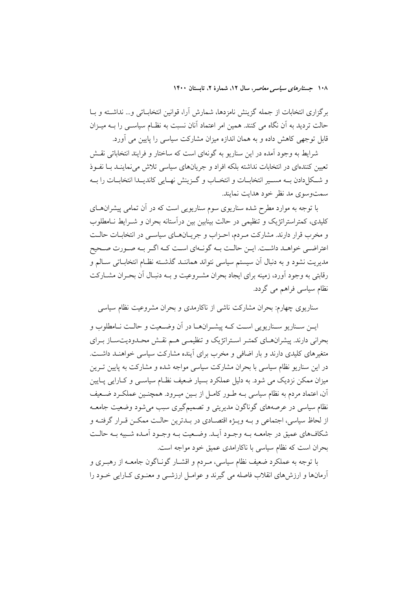برگزاری انتخابات از جمله گزینش نامزدها، شمارش آرا، قوانین انتخابـاتی و… نداشـته و بــا حالت تردید به اَن نگاه می کنند. همین امر اعتماد اَنان نسبت به نظـام سیاســی را بــه میــزان قابل توجهی کاهش داده و به همان اندازه میزان مشارکت سیاسی را پایین می آورد.

شرایط به وجود آمده در این سناریو به گونهای است که ساختار و فرایند انتخاباتی نقــش تعیین کنندهای در انتخابات نداشته بلکه افراد و جریانهای سیاسی تلاش می نماینــد بــا نفــوذ و شكل دادن بــه مســير انتخابــات و انتخــاب و گــزينش نهــايي كانديــدا انتخابــات را بــه سمتوسوی مد نظر خود هدایت نمایند.

با توجه به موارد مطرح شده سناریوی سوم سناریویی است که در آن تمامی پیشران های کلیدی، کمتراستراتژیک و تنظیمی در حالت بینابین بین درآستانه بحران و شـرایط نـامطلوب و مخرب قرار دارند. مشارکت مـردم، احـزاب و جريــانهــاي سياســي در انتخابــات حالــت اعتراضی خواهـد داشـت. ايـن حالـت بـه گونـهاي اسـت كـه اگـر بـه صـورت صـحيح مدیریت نشود و به دنبال آن سیستم سیاسی نتواند هماننـد گذشـته نظـام انتخابـاتی سـالم و رقابتی به وجود آورد، زمینه برای ایجاد بحران مشـروعیت و بـه دنبـال آن بحـران مشــارکت نظام سیاسی فراهم می گردد.

سناریوی چهارم: بحران مشارکت ناشی از ناکارمدی و بحران مشروعیت نظام سیاسی

ايــن ســناريو ســناريويي اســت كــه پيشــرانهــا در آن وضــعيت و حالــت نــامطلوب و بحرانی دارند. پیشرانهـای کمتـر اسـتراتژیک و تنظیمـی هـم نقـش محـدودیتسـاز بـرای متغیرهای کلیدی دارند و بار اضافی و مخرب برای آینده مشارکت سیاسی خواهنـد داشـت. در این سناریو نظام سیاسی با بحران مشارکت سیاسی مواجه شده و مشارکت به پایین تـرین میزان ممکن نزدیک می شود. به دلیل عملکرد بسیار ضعیف نظـام سیاســی و کــارایی پــایین آن، اعتماد مردم به نظام سیاسی بــه طــور کامــل از بــین میــرود. همچنــین عملکــرد ضــعیف نظام سیاسی در عرصههای گوناگون مدیریتی و تصمیمگیری سبب میشود وضعیت جامعــه از لحاظ سیاسی، اجتماعی و بـه ویـژه اقتصـادی در بـدترین حالـت ممکـن قـرار گرفتـه و شکافهای عمیق در جامعــه بــه وجــود آیــد. وضــعیت بــه وجــود آمــده شــبیه بــه حالــت بحران است كه نظام سياسي با ناكارامدي عميق خود مواجه است.

با توجه به عملکرد ضعیف نظام سیاسی، مـردم و اقشــار گونــاگون جامعــه از رهبــری و آرمانها و ارزشهای انقلاب فاصله می گیرند و عوامـل ارزشــی و معنــوی کــارایی خــود را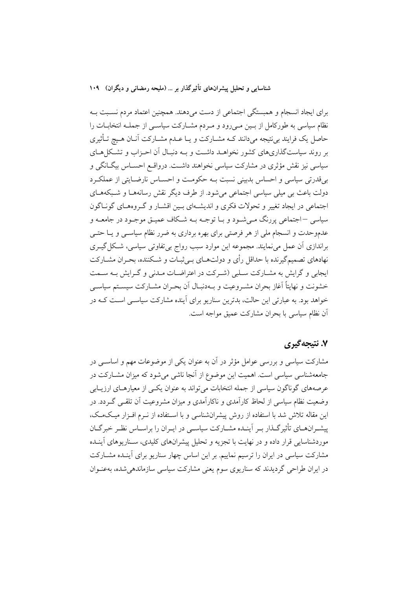برای ایجاد انسجام و همبستگی اجتماعی از دست میدهند. همچنین اعتماد مردم نسـبت بــه نظام سیاسی به طورکامل از بـین مـیرود و مـردم مشـارکت سیاسـی از جملــه انتخابــات را حاصل یک فرایند بی نتیجه میدانند کـه مشــارکت و یــا عــدم مشــارکت آنــان هــیچ تــأثیری بر روند سیاستگذاریهای کشور نخواهـد داشـت و بـه دنبـال آن احـزاب و تشـکلهـای سیاسی نیز نقش مؤثری در مشارکت سیاسی نخواهند داشت. درواقع احسـاس بیگـانگی و بی قدرتی سیاسی و احساس بدبینی نسبت بـه حکومـت و احسـاس نارضـایتی از عملکـرد دولت باعث بی میلی سیاسی اجتماعی میشود. از طرف دیگر نقش رسانههـا و شـبکههـای اجتماعی در ایجاد تغییر و تحولات فکری و اندیشـهای بـین اقشـار و گـروههـای گونـاگون سیاسی –اجتماعی پررنگ مے شـود و بـا توجـه بــه شـكاف عميـق موجـود در جامعــه و عدموحدت و انسجام ملی از هر فرصتی برای بهره برداری به ضرر نظام سیاســی و یــا حتــی براندازی آن عمل مینمایند. مجموعه این موارد سبب رواج بی تفاوتی سیاسی، شکل گیـری نهادهای تصمیمگیرنده با حداقل رأی و دولتهـای بـی ثبـات و شــکننده، بحـران مشــارکت ایجابی و گرایش به مشــارکت ســلبی (شــرکت در اعتراضــات مــدنی و گــرایش بــه ســمت خشونت و نهایتاً آغاز بحران مشـروعیت و بـهدنبـال آن بحـران مشـارکت سیسـتم سیاسـی خواهد بود. به عبارتی این حالت، بدترین سناریو برای آینده مشارکت سیاسـی اسـت کـه در أن نظام سياسي با بحران مشاركت عميق مواجه است.

### ۷. نتیجهگیری

مشارکت سیاسی و بررسی عوامل مؤثر در آن به عنوان یکی از موضوعات مهم و اساســی در جامعهشناسی سیاسی است. اهمیت این موضوع از آنجا ناشی می شود که میزان مشــارکت در عرصههای گوناگون سیاسی از جمله انتخابات میتواند به عنوان یکسی از معیارهـای ارزیــابی وضعیت نظام سیاسی از لحاظ کارآمدی و ناکارآمدی و میزان مشروعیت آن تلقـی گـردد. در این مقاله تلاش شد با استفاده از روش پیشرانشناسی و با اسـتفاده از نـرم افـزار میـکـمـک، پیشـرانهـای تأثیرگـذار بـر اَینـده مشـارکت سیاسـی در ایـران را براسـاس نظـر خبرگـان موردشناسایی قرار داده و در نهایت با تجزیه و تحلیل پیشرانهای کلیدی، سـناریوهای آینـده مشارکت سیاسی در ایران را ترسیم نماییم. بر این اساس چهار سناریو برای آینـده مشــارکت در ایران طراحی گردیدند که سناریوی سوم یعنی مشارکت سیاسی سازماندهی شده، بهعنـوان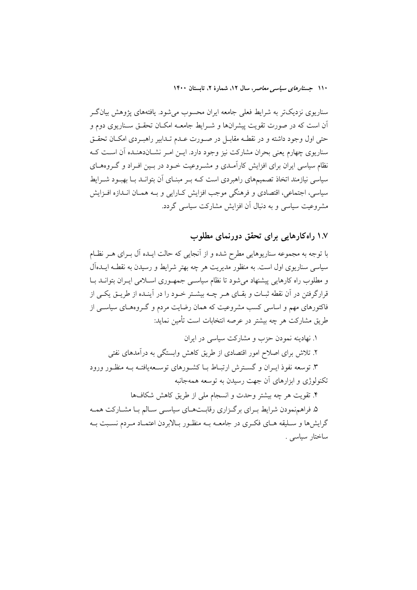سناریوی نزدیکتر به شرایط فعلی جامعه ایران محسوب میشود. یافتههای پژوهش بیانگر آن است که در صورت تقویت پیشرانها و شـرایط جامعــه امکــان تحقــق ســناریوی دوم و حتی اول وجود داشته و در نقطـه مقابـل در صـورت عـدم تـدابیر راهبـردی امکـان تحقـق سناریوی چهارم یعنی بحران مشارکت نیز وجود دارد. ایــن امـر نشــاندهنــده آن اســت کــه نظام سیاسی ایران برای افزایش کارآمـدی و مشـروعیت خــود در بــین افــراد و گــروهـمـای سیاسی نیازمند اتخاذ تصمیمهای راهبردی است کــه بــر مبنــای آن بتوانــد بــا بهبــود شــرایط سیاسی، اجتماعی، اقتصادی و فرهنگی موجب افزایش کـارایی و بـه همـان انـدازه افـزایش مشروعیت سیاسی و به دنبال آن افزایش مشارکت سیاسی گردد.

## ۱.۷ راه کارهایی برای تحقق دورنمای مطلوب

با توجه به مجموعه سناریوهایی مطرح شده و از آنجایی که حالت ایـده آل بـرای هـر نظـام سیاسی سناریوی اول است. به منظور مدیریت هر چه بهتر شرایط و رسیدن به نقطـه ایــدهآل و مطلوب راه کارهایی پیشنهاد می شود تا نظام سیاستی جمهـوری اسـلامی ایـران بتوانــد بــا قرارگرفتن در آن نقطه ثبـات و بقـای هــر چــه بیشــتر خــود را در آینــده از طریــق یکــم از فاکتورهای مهم و اساسی کسب مشروعیت که همان رضایت مردم و گـروههـای سیاســی از طريق مشاركت هر چه بيشتر در عرصه انتخابات است تأمين نمايد:

۱. نهادینه نمودن حزب و مشارکت سیاسی در ایران ۲. تلاش برای اصلاح امور اقتصادی از طریق کاهش وابستگی به درآمدهای نفتی ۳. توسعه نفوذ ایـران و گسـترش ارتبـاط بـا کشـورهای توسـعهیافتـه بـه منظـور ورود تکنولوژی و ابزارهای آن جهت رسیدن به توسعه همهجانبه

۴. تقويت هر چه بيشتر وحدت و انسجام ملي از طريق كاهش شكافها

۵. فراهمنمودن شرایط بـرای برگـزاری رقابـتهـای سیاسـی سـالم بـا مشـارکت همـه گرایشها و سـلیقه هـای فکـری در جامعــه بــه منظـور بـالابردن اعتمــاد مـردم نسـبت بــه ساختار سياسى .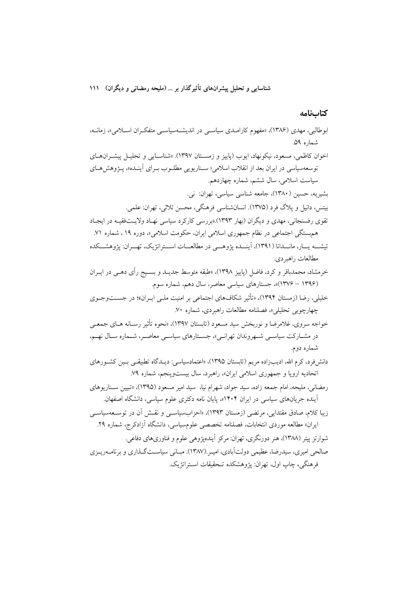كتابنامه